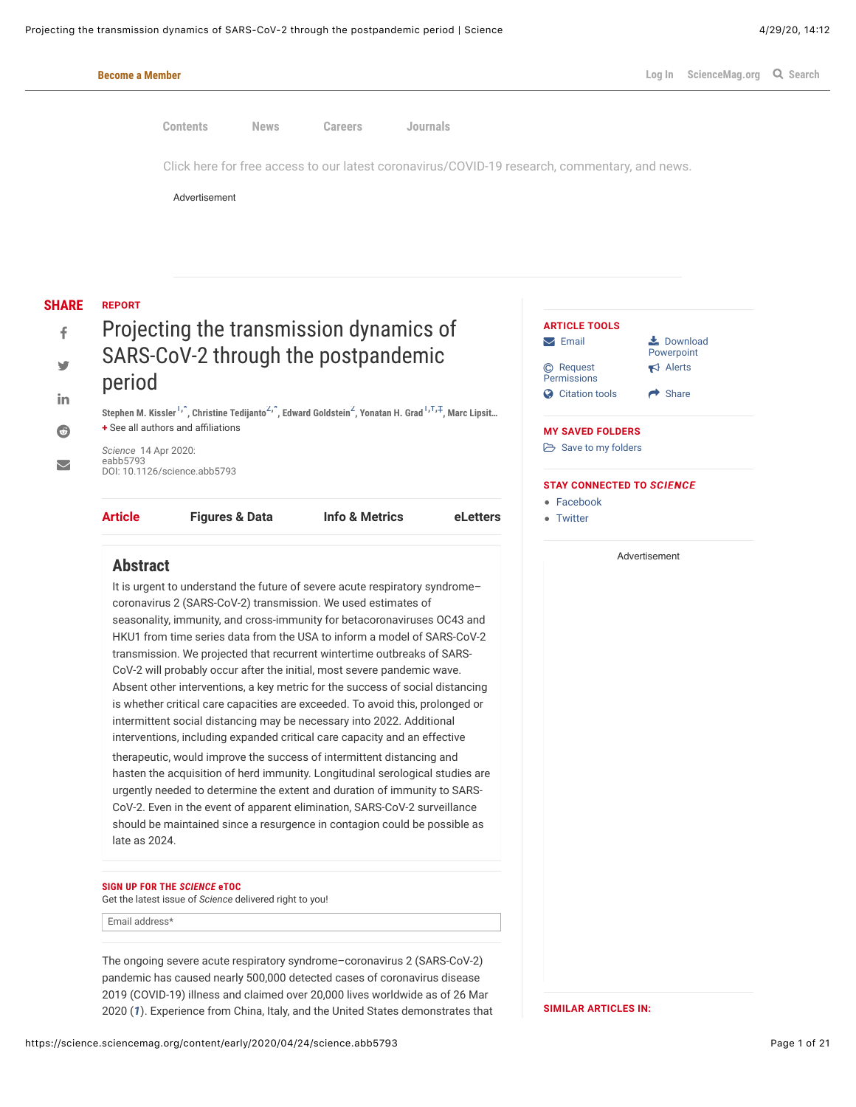

<span id="page-0-1"></span><span id="page-0-0"></span>The ongoing severe acute respiratory syndrome–coronavirus 2 (SARS-CoV-2) pandemic has caused nearly 500,000 detected cases of coronavirus disease 2019 (COVID-19) illness and claimed over 20,000 lives worldwide as of 26 Mar 2020 (*[1](#page-13-0)*). Experience from China, Italy, and the United States demonstrates that

**SIMILAR ARTICLES IN:**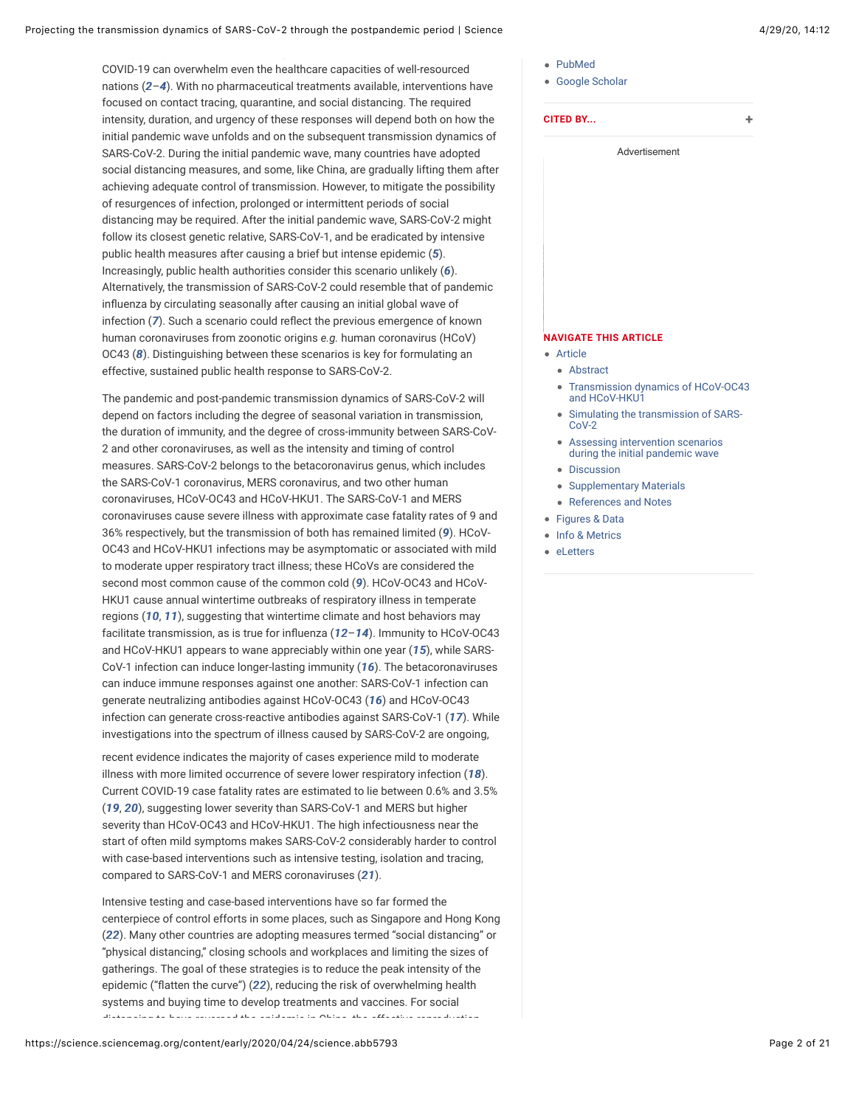<span id="page-1-1"></span><span id="page-1-0"></span>COVID-19 can overwhelm even the healthcare capacities of well-resourced nations (*[2](#page-13-1)*–*[4](#page-13-2)*). With no pharmaceutical treatments available, interventions have focused on contact tracing, quarantine, and social distancing. The required intensity, duration, and urgency of these responses will depend both on how the initial pandemic wave unfolds and on the subsequent transmission dynamics of SARS-CoV-2. During the initial pandemic wave, many countries have adopted social distancing measures, and some, like China, are gradually lifting them after achieving adequate control of transmission. However, to mitigate the possibility of resurgences of infection, prolonged or intermittent periods of social distancing may be required. After the initial pandemic wave, SARS-CoV-2 might follow its closest genetic relative, SARS-CoV-1, and be eradicated by intensive public health measures after causing a brief but intense epidemic (*[5](#page-13-3)*). Increasingly, public health authorities consider this scenario unlikely (*[6](#page-14-0)*). Alternatively, the transmission of SARS-CoV-2 could resemble that of pandemic influenza by circulating seasonally after causing an initial global wave of infection ([7](#page-14-1)). Such a scenario could reflect the previous emergence of known human coronaviruses from zoonotic origins *e.g.* human coronavirus (HCoV) OC43 (*[8](#page-14-2)*). Distinguishing between these scenarios is key for formulating an effective, sustained public health response to SARS-CoV-2.

<span id="page-1-5"></span><span id="page-1-4"></span>The pandemic and post-pandemic transmission dynamics of SARS-CoV-2 will depend on factors including the degree of seasonal variation in transmission, the duration of immunity, and the degree of cross-immunity between SARS-CoV-2 and other coronaviruses, as well as the intensity and timing of control measures. SARS-CoV-2 belongs to the betacoronavirus genus, which includes the SARS-CoV-1 coronavirus, MERS coronavirus, and two other human coronaviruses, HCoV-OC43 and HCoV-HKU1. The SARS-CoV-1 and MERS coronaviruses cause severe illness with approximate case fatality rates of 9 and 36% respectively, but the transmission of both has remained limited (*[9](#page-14-3)*). HCoV-OC43 and HCoV-HKU1 infections may be asymptomatic or associated with mild to moderate upper respiratory tract illness; these HCoVs are considered the second most common cause of the common cold (*[9](#page-14-3)*). HCoV-OC43 and HCoV-HKU1 cause annual wintertime outbreaks of respiratory illness in temperate regions (*[10](#page-14-4)*, *[11](#page-14-5)*), suggesting that wintertime climate and host behaviors may facilitate transmission, as is true for inbuenza (*[12](#page-14-6)*–*[14](#page-14-7)*). Immunity to HCoV-OC43 and HCoV-HKU1 appears to wane appreciably within one year (*[15](#page-14-8)*), while SARS-CoV-1 infection can induce longer-lasting immunity (*[16](#page-14-9)*). The betacoronaviruses can induce immune responses against one another: SARS-CoV-1 infection can generate neutralizing antibodies against HCoV-OC43 (*[16](#page-14-9)*) and HCoV-OC43 infection can generate cross-reactive antibodies against SARS-CoV-1 (*[17](#page-14-10)*). While investigations into the spectrum of illness caused by SARS-CoV-2 are ongoing,

<span id="page-1-16"></span><span id="page-1-15"></span><span id="page-1-8"></span><span id="page-1-7"></span>recent evidence indicates the majority of cases experience mild to moderate illness with more limited occurrence of severe lower respiratory infection (*[18](#page-14-11)*). Current COVID-19 case fatality rates are estimated to lie between 0.6% and 3.5% (*[19](#page-15-0)*, *[20](#page-15-1)*), suggesting lower severity than SARS-CoV-1 and MERS but higher severity than HCoV-OC43 and HCoV-HKU1. The high infectiousness near the start of often mild symptoms makes SARS-CoV-2 considerably harder to control with case-based interventions such as intensive testing, isolation and tracing, compared to SARS-CoV-1 and MERS coronaviruses (*[21](#page-15-2)*).

<span id="page-1-18"></span><span id="page-1-17"></span>Intensive testing and case-based interventions have so far formed the centerpiece of control efforts in some places, such as Singapore and Hong Kong (*[22](#page-15-3)*). Many other countries are adopting measures termed "social distancing" or "physical distancing," closing schools and workplaces and limiting the sizes of gatherings. The goal of these strategies is to reduce the peak intensity of the epidemic ("flatten the curve") ([22](#page-15-3)), reducing the risk of overwhelming health systems and buying time to develop treatments and vaccines. For social distancing to have reversed the epidemic in China, the effective reproduction

- 
- [PubMed](https://science.sciencemag.org/lookup/external-ref?link_type=MED_NBRS&access_num=32291278)
- [Google Scholar](https://science.sciencemag.org/lookup/google-scholar?link_type=googlescholar&gs_type=related&author%5B0%5D=Stephen%2BM.%2BKissler&author%5B1%5D=Christine%2BTedijanto&author%5B2%5D=Edward%2BGoldstein&author%5B3%5D=Yonatan%2BH.%2BGrad&author%5B4%5D=Marc%2BLipsitch&title=Projecting%2Bthe%2Btransmission%2Bdynamics%2Bof%2BSARS-CoV-2%2Bthrough%2Bthe%2Bpostpandemic%2Bperiod&publication_year=2020&path=content/early/2020/04/24/science.abb5793)

<span id="page-1-3"></span><span id="page-1-2"></span>

|               | <b>CITED BY</b><br>٠                                                 |  |  |  |  |  |
|---------------|----------------------------------------------------------------------|--|--|--|--|--|
| Advertisement |                                                                      |  |  |  |  |  |
|               |                                                                      |  |  |  |  |  |
|               |                                                                      |  |  |  |  |  |
|               |                                                                      |  |  |  |  |  |
|               |                                                                      |  |  |  |  |  |
|               |                                                                      |  |  |  |  |  |
|               |                                                                      |  |  |  |  |  |
|               |                                                                      |  |  |  |  |  |
|               |                                                                      |  |  |  |  |  |
|               |                                                                      |  |  |  |  |  |
|               |                                                                      |  |  |  |  |  |
|               |                                                                      |  |  |  |  |  |
|               | <b>NAVIGATE THIS ARTICLE</b>                                         |  |  |  |  |  |
|               | Article                                                              |  |  |  |  |  |
|               | • Abstract                                                           |  |  |  |  |  |
|               | • Transmission dynamics of HCoV-OC43<br>and HCoV-HKU1                |  |  |  |  |  |
| $\bullet$     | Simulating the transmission of SARS-<br>$C0V-2$                      |  |  |  |  |  |
| ۰             | Assessing intervention scenarios<br>during the initial pandemic wave |  |  |  |  |  |
|               | • Discussion                                                         |  |  |  |  |  |
| $\bullet$     | <b>Supplementary Materials</b>                                       |  |  |  |  |  |
|               | <b>References and Notes</b>                                          |  |  |  |  |  |

- <span id="page-1-6"></span>• [Info & Metrics](https://science.sciencemag.org/content/early/2020/04/24/science.abb5793/tab-article-info)
- <span id="page-1-14"></span><span id="page-1-13"></span><span id="page-1-12"></span><span id="page-1-11"></span><span id="page-1-10"></span><span id="page-1-9"></span>• el etters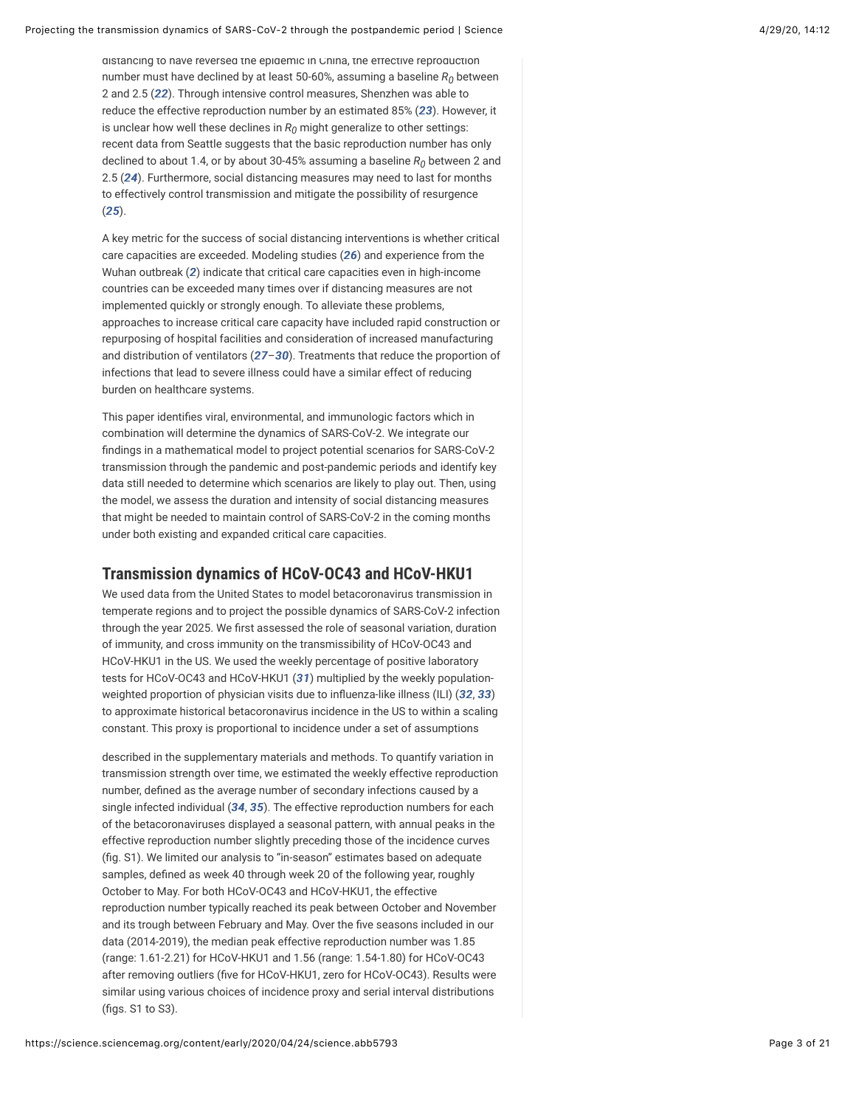<span id="page-2-1"></span>distancing to have reversed the epidemic in China, the effective reproduction number must have declined by at least 50-60%, assuming a baseline  $R_0$  between 2 and 2.5 (*[22](#page-15-3)*). Through intensive control measures, Shenzhen was able to reduce the effective reproduction number by an estimated 85% (*[23](#page-15-4)*). However, it is unclear how well these declines in  $R_0$  might generalize to other settings: recent data from Seattle suggests that the basic reproduction number has only declined to about 1.4, or by about 30-45% assuming a baseline  $R_0$  between 2 and 2.5 (*[24](#page-15-5)*). Furthermore, social distancing measures may need to last for months to effectively control transmission and mitigate the possibility of resurgence (*[25](#page-15-6)*).

<span id="page-2-4"></span><span id="page-2-3"></span><span id="page-2-2"></span>A key metric for the success of social distancing interventions is whether critical care capacities are exceeded. Modeling studies (*[26](#page-15-7)*) and experience from the Wuhan outbreak (*[2](#page-13-1)*) indicate that critical care capacities even in high-income countries can be exceeded many times over if distancing measures are not implemented quickly or strongly enough. To alleviate these problems, approaches to increase critical care capacity have included rapid construction or repurposing of hospital facilities and consideration of increased manufacturing and distribution of ventilators (*[27](#page-15-8)*–*[30](#page-15-9)*). Treatments that reduce the proportion of infections that lead to severe illness could have a similar effect of reducing burden on healthcare systems.

<span id="page-2-6"></span><span id="page-2-5"></span>This paper identifies viral, environmental, and immunologic factors which in combination will determine the dynamics of SARS-CoV-2. We integrate our findings in a mathematical model to project potential scenarios for SARS-CoV-2 transmission through the pandemic and post-pandemic periods and identify key data still needed to determine which scenarios are likely to play out. Then, using the model, we assess the duration and intensity of social distancing measures that might be needed to maintain control of SARS-CoV-2 in the coming months under both existing and expanded critical care capacities.

#### <span id="page-2-0"></span>**Transmission dynamics of HCoV-OC43 and HCoV-HKU1**

We used data from the United States to model betacoronavirus transmission in temperate regions and to project the possible dynamics of SARS-CoV-2 infection through the year 2025. We first assessed the role of seasonal variation, duration of immunity, and cross immunity on the transmissibility of HCoV-OC43 and HCoV-HKU1 in the US. We used the weekly percentage of positive laboratory tests for HCoV-OC43 and HCoV-HKU1 (*[31](#page-16-0)*) multiplied by the weekly population-weighted proportion of physician visits due to influenza-like illness (ILI) ([32](#page-16-1), [33](#page-16-2)) to approximate historical betacoronavirus incidence in the US to within a scaling constant. This proxy is proportional to incidence under a set of assumptions

<span id="page-2-11"></span><span id="page-2-10"></span><span id="page-2-9"></span><span id="page-2-8"></span><span id="page-2-7"></span>described in the supplementary materials and methods. To quantify variation in transmission strength over time, we estimated the weekly effective reproduction number, defined as the average number of secondary infections caused by a single infected individual (*[34](#page-16-3)*, *[35](#page-16-4)*). The effective reproduction numbers for each of the betacoronaviruses displayed a seasonal pattern, with annual peaks in the effective reproduction number slightly preceding those of the incidence curves (fig. S1). We limited our analysis to "in-season" estimates based on adequate samples, defined as week 40 through week 20 of the following year, roughly October to May. For both HCoV-OC43 and HCoV-HKU1, the effective reproduction number typically reached its peak between October and November and its trough between February and May. Over the five seasons included in our data (2014-2019), the median peak effective reproduction number was 1.85 (range: 1.61-2.21) for HCoV-HKU1 and 1.56 (range: 1.54-1.80) for HCoV-OC43 after removing outliers (five for HCoV-HKU1, zero for HCoV-OC43). Results were similar using various choices of incidence proxy and serial interval distributions (figs. S1 to S3).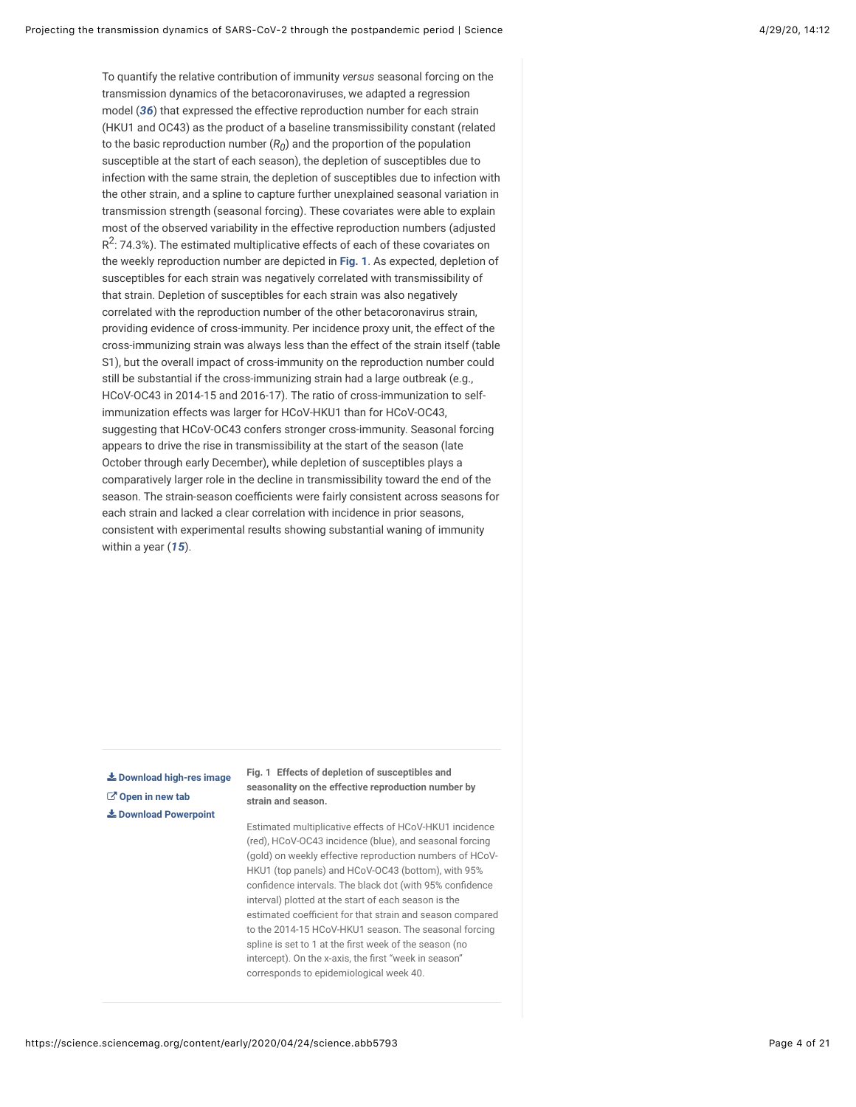<span id="page-3-1"></span>To quantify the relative contribution of immunity *versus* seasonal forcing on the transmission dynamics of the betacoronaviruses, we adapted a regression model (*[36](#page-16-5)*) that expressed the effective reproduction number for each strain (HKU1 and OC43) as the product of a baseline transmissibility constant (related to the basic reproduction number  $(R_0)$  and the proportion of the population susceptible at the start of each season), the depletion of susceptibles due to infection with the same strain, the depletion of susceptibles due to infection with the other strain, and a spline to capture further unexplained seasonal variation in transmission strength (seasonal forcing). These covariates were able to explain most of the observed variability in the effective reproduction numbers (adjusted  $R^2$ : 74.3%). The estimated multiplicative effects of each of these covariates on the weekly reproduction number are depicted in **[Fig. 1](#page-3-0)**. As expected, depletion of susceptibles for each strain was negatively correlated with transmissibility of that strain. Depletion of susceptibles for each strain was also negatively correlated with the reproduction number of the other betacoronavirus strain, providing evidence of cross-immunity. Per incidence proxy unit, the effect of the cross-immunizing strain was always less than the effect of the strain itself (table S1), but the overall impact of cross-immunity on the reproduction number could still be substantial if the cross-immunizing strain had a large outbreak (e.g., HCoV-OC43 in 2014-15 and 2016-17). The ratio of cross-immunization to selfimmunization effects was larger for HCoV-HKU1 than for HCoV-OC43, suggesting that HCoV-OC43 confers stronger cross-immunity. Seasonal forcing appears to drive the rise in transmissibility at the start of the season (late October through early December), while depletion of susceptibles plays a comparatively larger role in the decline in transmissibility toward the end of the season. The strain-season coefficients were fairly consistent across seasons for each strain and lacked a clear correlation with incidence in prior seasons, consistent with experimental results showing substantial waning of immunity within a year (*[15](#page-14-8)*).

<span id="page-3-0"></span>**[Download high-res image](https://science.sciencemag.org/content/sci/early/2020/04/24/science.abb5793/F1.large.jpg?download=true) [Open in new tab](https://science.sciencemag.org/content/sci/early/2020/04/24/science.abb5793/F1.large.jpg) [Download Powerpoint](https://science.sciencemag.org/highwire/powerpoint/743726)**

**Fig. 1 Effects of depletion of susceptibles and seasonality on the effective reproduction number by strain and season.**

Estimated multiplicative effects of HCoV-HKU1 incidence (red), HCoV-OC43 incidence (blue), and seasonal forcing (gold) on weekly effective reproduction numbers of HCoV-HKU1 (top panels) and HCoV-OC43 (bottom), with 95% confidence intervals. The black dot (with 95% confidence interval) plotted at the start of each season is the estimated coefficient for that strain and season compared to the 2014-15 HCoV-HKU1 season. The seasonal forcing spline is set to 1 at the first week of the season (no intercept). On the x-axis, the first "week in season" corresponds to epidemiological week 40.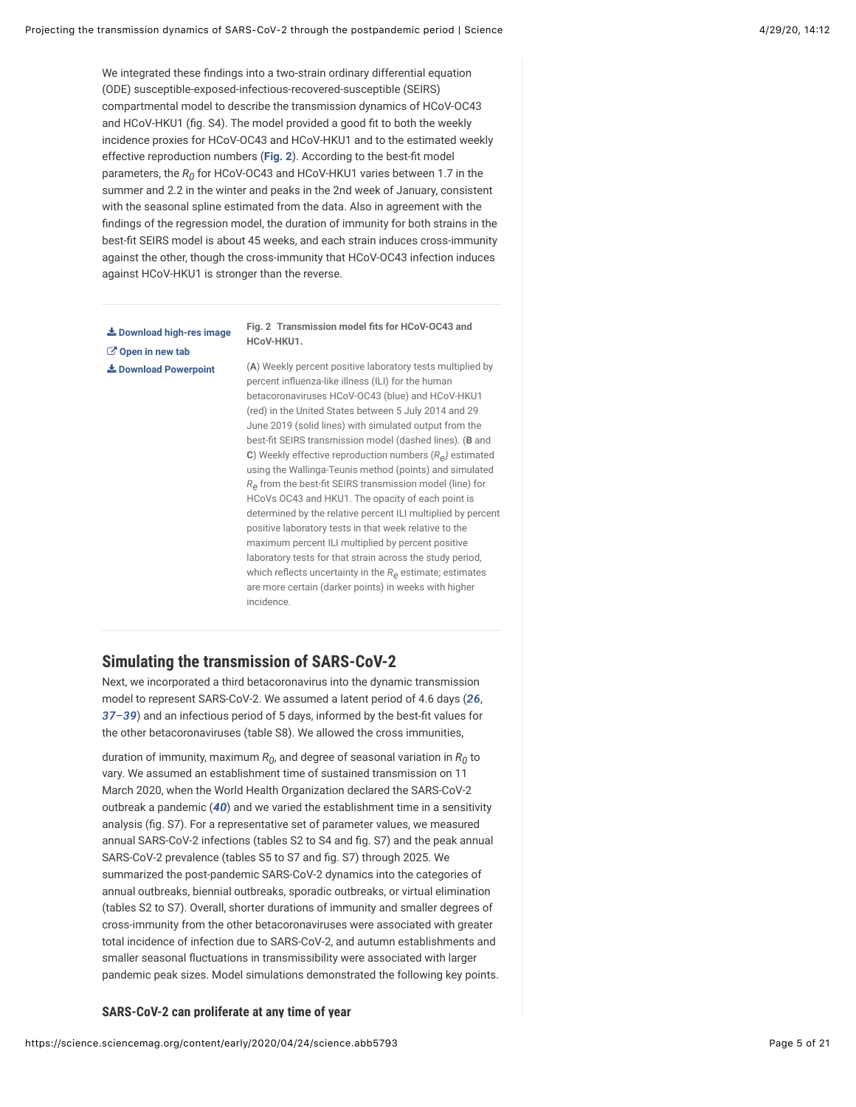We integrated these findings into a two-strain ordinary differential equation (ODE) susceptible-exposed-infectious-recovered-susceptible (SEIRS) compartmental model to describe the transmission dynamics of HCoV-OC43 and HCoV-HKU1 (fig. S4). The model provided a good fit to both the weekly incidence proxies for HCoV-OC43 and HCoV-HKU1 and to the estimated weekly effective reproduction numbers ([Fig. 2](#page-4-1)). According to the best-fit model parameters, the  $R_0$  for HCoV-OC43 and HCoV-HKU1 varies between 1.7 in the summer and 2.2 in the winter and peaks in the 2nd week of January, consistent with the seasonal spline estimated from the data. Also in agreement with the findings of the regression model, the duration of immunity for both strains in the best-fit SEIRS model is about 45 weeks, and each strain induces cross-immunity against the other, though the cross-immunity that HCoV-OC43 infection induces against HCoV-HKU1 is stronger than the reverse.

<span id="page-4-1"></span>**[Download high-res image](https://science.sciencemag.org/content/sci/early/2020/04/24/science.abb5793/F2.large.jpg?download=true) [Open in new tab](https://science.sciencemag.org/content/sci/early/2020/04/24/science.abb5793/F2.large.jpg) [Download Powerpoint](https://science.sciencemag.org/highwire/powerpoint/743724)**

**Fig. 2 Transmission model fits for HCoV-OC43 and HCoV-HKU1.**

(**A**) Weekly percent positive laboratory tests multiplied by percent influenza-like illness (ILI) for the human betacoronaviruses HCoV-OC43 (blue) and HCoV-HKU1 (red) in the United States between 5 July 2014 and 29 June 2019 (solid lines) with simulated output from the best-fit SEIRS transmission model (dashed lines). (**B** and **C**) Weekly effective reproduction numbers (*R )* estimated *e* using the Wallinga-Teunis method (points) and simulated  $R_{\mathsf{e}}$  from the best-fit SEIRS transmission model (line) for HCoVs OC43 and HKU1. The opacity of each point is determined by the relative percent ILI multiplied by percent positive laboratory tests in that week relative to the maximum percent ILI multiplied by percent positive laboratory tests for that strain across the study period, which reflects uncertainty in the  $R_{\mathbf{\Theta}}$  estimate; estimates are more certain (darker points) in weeks with higher incidence.

## <span id="page-4-0"></span>**Simulating the transmission of SARS-CoV-2**

<span id="page-4-3"></span><span id="page-4-2"></span>Next, we incorporated a third betacoronavirus into the dynamic transmission model to represent SARS-CoV-2. We assumed a latent period of 4.6 days (*[26](#page-15-7)*, [37](#page-16-6)–[39](#page-16-7)) and an infectious period of 5 days, informed by the best-fit values for the other betacoronaviruses (table S8). We allowed the cross immunities,

<span id="page-4-4"></span>duration of immunity, maximum  $R_0$ , and degree of seasonal variation in  $R_0$  to vary. We assumed an establishment time of sustained transmission on 11 March 2020, when the World Health Organization declared the SARS-CoV-2 outbreak a pandemic (*[40](#page-16-8)*) and we varied the establishment time in a sensitivity analysis (fig. S7). For a representative set of parameter values, we measured annual SARS-CoV-2 infections (tables S2 to S4 and fig. S7) and the peak annual SARS-CoV-2 prevalence (tables S5 to S7 and fig. S7) through 2025. We summarized the post-pandemic SARS-CoV-2 dynamics into the categories of annual outbreaks, biennial outbreaks, sporadic outbreaks, or virtual elimination (tables S2 to S7). Overall, shorter durations of immunity and smaller degrees of cross-immunity from the other betacoronaviruses were associated with greater total incidence of infection due to SARS-CoV-2, and autumn establishments and smaller seasonal fluctuations in transmissibility were associated with larger pandemic peak sizes. Model simulations demonstrated the following key points.

#### **SARS-CoV-2 can proliferate at any time of year**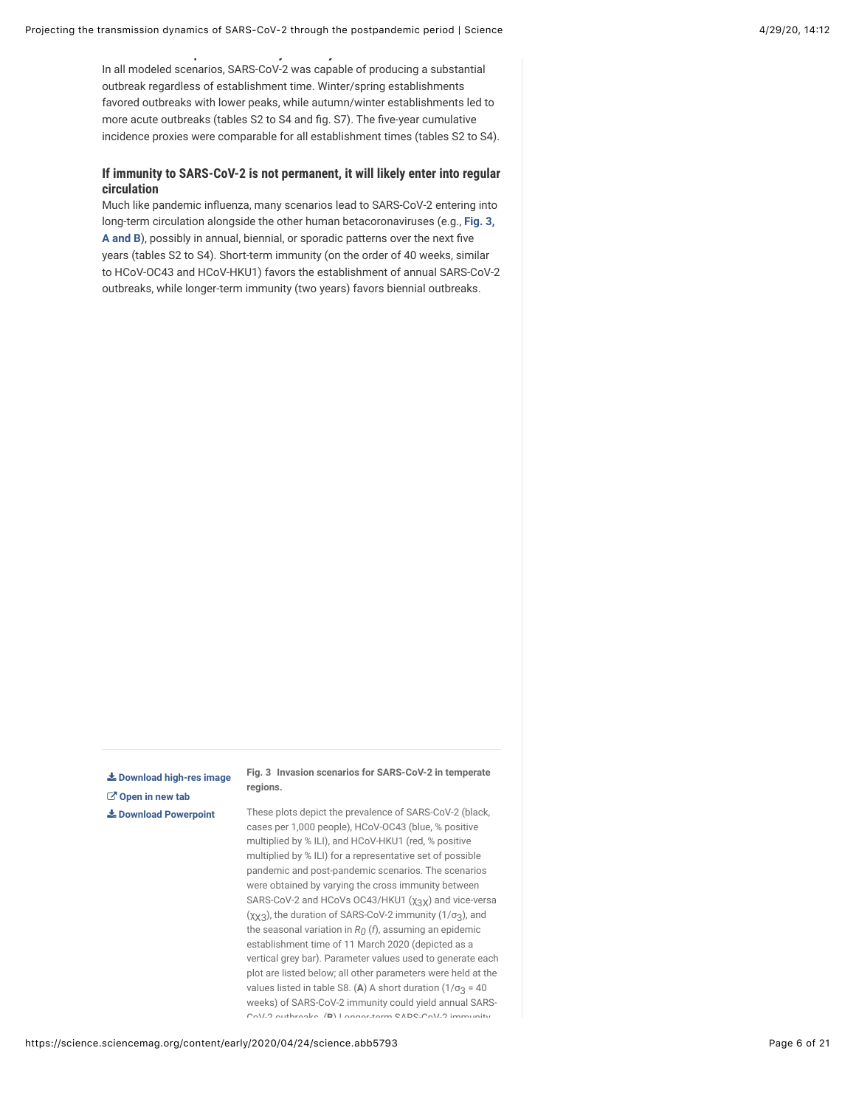**SARS-CoV-2 can proliferate at any time of year**

In all modeled scenarios, SARS-CoV-2 was capable of producing a substantial outbreak regardless of establishment time. Winter/spring establishments favored outbreaks with lower peaks, while autumn/winter establishments led to more acute outbreaks (tables S2 to S4 and fig. S7). The five-year cumulative incidence proxies were comparable for all establishment times (tables S2 to S4).

#### **If immunity to SARS-CoV-2 is not permanent, it will likely enter into regular circulation**

Much like pandemic influenza, many scenarios lead to SARS-CoV-2 entering into [long-term circulation alongside the other human betacoronaviruses \(e.g.,](#page-5-0) **Fig. 3,** A and B), possibly in annual, biennial, or sporadic patterns over the next five years (tables S2 to S4). Short-term immunity (on the order of 40 weeks, similar to HCoV-OC43 and HCoV-HKU1) favors the establishment of annual SARS-CoV-2 outbreaks, while longer-term immunity (two years) favors biennial outbreaks.

<span id="page-5-0"></span>**[Download high-res image](https://science.sciencemag.org/content/sci/early/2020/04/24/science.abb5793/F3.large.jpg?download=true) [Open in new tab](https://science.sciencemag.org/content/sci/early/2020/04/24/science.abb5793/F3.large.jpg) [Download Powerpoint](https://science.sciencemag.org/highwire/powerpoint/743721)**

**Fig. 3 Invasion scenarios for SARS-CoV-2 in temperate regions.**

These plots depict the prevalence of SARS-CoV-2 (black, cases per 1,000 people), HCoV-OC43 (blue, % positive multiplied by % ILI), and HCoV-HKU1 (red, % positive multiplied by % ILI) for a representative set of possible pandemic and post-pandemic scenarios. The scenarios were obtained by varying the cross immunity between SARS-CoV-2 and HCoVs OC43/HKU1  $(\chi_{3}\chi)$  and vice-versa (χχ $_3$ ), the duration of SARS-CoV-2 immunity (1/σ $_3$ ), and the seasonal variation in  $R_0$  ( $\it f$ ), assuming an epidemic establishment time of 11 March 2020 (depicted as a vertical grey bar). Parameter values used to generate each plot are listed below; all other parameters were held at the values listed in table S8.  $(A)$  A short duration  $(1/\sigma_3 = 40$ weeks) of SARS-CoV-2 immunity could yield annual SARS-CoV-2 outbreaks. (**B**) Longer-term SARS-CoV-2 immunity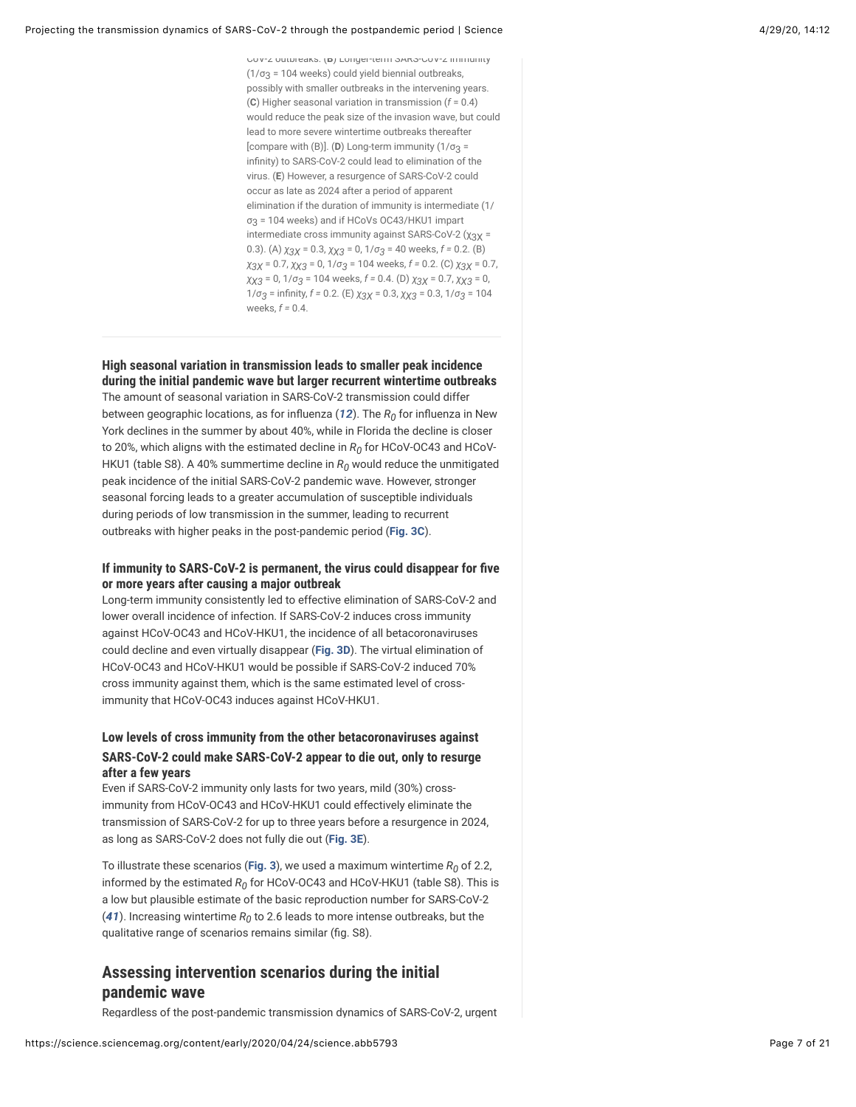CoV-2 outbreaks. (**B**) Longer-term SARS-CoV-2 immunity  $(1/\sigma_3 = 104$  weeks) could yield biennial outbreaks, possibly with smaller outbreaks in the intervening years. (**C**) Higher seasonal variation in transmission (*f* = 0.4) would reduce the peak size of the invasion wave, but could lead to more severe wintertime outbreaks thereafter [compare with  $(B)$ ]. (**D**) Long-term immunity  $(1/\sigma_3 =$ infinity) to SARS-CoV-2 could lead to elimination of the virus. (**E**) However, a resurgence of SARS-CoV-2 could occur as late as 2024 after a period of apparent elimination if the duration of immunity is intermediate (1/ σ $_3$  = 104 weeks) and if HCoVs OC43/HKU1 impart intermediate cross immunity against SARS-CoV-2 (χ $3\chi$  = 0.3). (A)  $\chi_{3X}$  = 0.3,  $\chi_{X3}$  = 0, 1/σ<sub>3</sub> = 40 weeks, *f* = 0.2. (B) *x*<sub>3</sub>*x* = 0.7, *xx*<sub>3</sub> = 0, 1/σ<sub>3</sub> = 104 weeks, *f* = 0.2. (C) *χ*<sub>3</sub>*χ* = 0.7, *χ*χ3 = 0, 1/σ<sub>3</sub> = 104 weeks, *f =* 0.4. (D) *χ*<sub>3</sub>χ = 0.7, *χχ*3 = 0, 1/*σ*<sub>3</sub> = infinity, *f* = 0.2. (E)  $\chi$ <sub>3</sub> $\chi$  = 0.3,  $\chi$  $\chi$ <sub>3</sub> = 0.3, 1/*σ*<sub>3</sub> = 104 weeks,  $f = \n 0.4$ 

#### **High seasonal variation in transmission leads to smaller peak incidence during the initial pandemic wave but larger recurrent wintertime outbreaks**

The amount of seasonal variation in SARS-CoV-2 transmission could differ between geographic locations, as for influenza ([12](#page-14-6)). The  $R_0$  for influenza in New York declines in the summer by about 40%, while in Florida the decline is closer to 20%, which aligns with the estimated decline in  $R_0$  for HCoV-OC43 and HCoV-HKU1 (table S8). A 40% summertime decline in  $R_0$  would reduce the unmitigated peak incidence of the initial SARS-CoV-2 pandemic wave. However, stronger seasonal forcing leads to a greater accumulation of susceptible individuals during periods of low transmission in the summer, leading to recurrent outbreaks with higher peaks in the post-pandemic period (**[Fig. 3C](#page-5-0)**).

#### If immunity to SARS-CoV-2 is permanent, the virus could disappear for five **or more years after causing a major outbreak**

Long-term immunity consistently led to effective elimination of SARS-CoV-2 and lower overall incidence of infection. If SARS-CoV-2 induces cross immunity against HCoV-OC43 and HCoV-HKU1, the incidence of all betacoronaviruses could decline and even virtually disappear (**[Fig. 3D](#page-5-0)**). The virtual elimination of HCoV-OC43 and HCoV-HKU1 would be possible if SARS-CoV-2 induced 70% cross immunity against them, which is the same estimated level of crossimmunity that HCoV-OC43 induces against HCoV-HKU1.

#### **Low levels of cross immunity from the other betacoronaviruses against SARS-CoV-2 could make SARS-CoV-2 appear to die out, only to resurge after a few years**

Even if SARS-CoV-2 immunity only lasts for two years, mild (30%) crossimmunity from HCoV-OC43 and HCoV-HKU1 could effectively eliminate the transmission of SARS-CoV-2 for up to three years before a resurgence in 2024, as long as SARS-CoV-2 does not fully die out (**[Fig. 3E](#page-5-0)**).

<span id="page-6-1"></span>To illustrate these scenarios (**[Fig. 3](#page-5-0)**), we used a maximum wintertime  $R_0$  of 2.2, informed by the estimated  $R_0$  for HCoV-OC43 and HCoV-HKU1 (table S8). This is a low but plausible estimate of the basic reproduction number for SARS-CoV-2 (**[41](#page-16-9)**). Increasing wintertime  $R_0$  to 2.6 leads to more intense outbreaks, but the qualitative range of scenarios remains similar (fig. S8).

# <span id="page-6-0"></span>**Assessing intervention scenarios during the initial pandemic wave**

Regardless of the post-pandemic transmission dynamics of SARS-CoV-2, urgent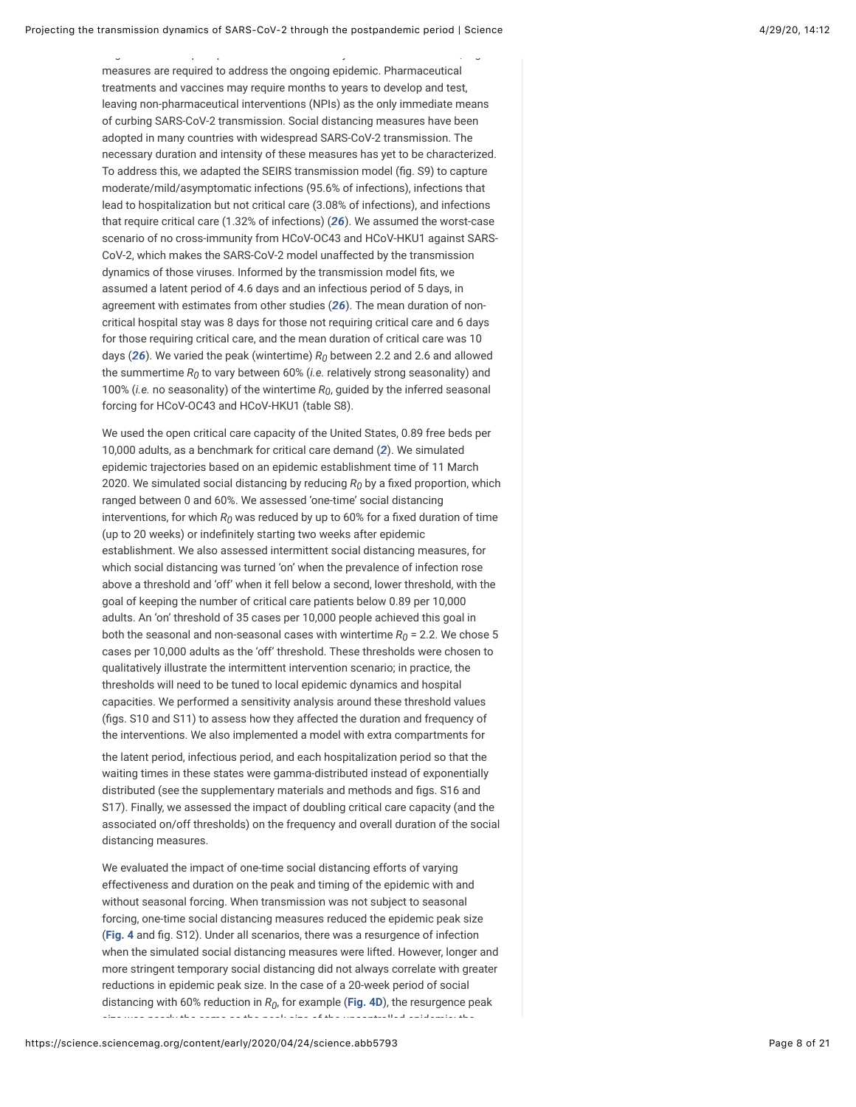measures are required to address the ongoing epidemic. Pharmaceutical treatments and vaccines may require months to years to develop and test, leaving non-pharmaceutical interventions (NPIs) as the only immediate means of curbing SARS-CoV-2 transmission. Social distancing measures have been adopted in many countries with widespread SARS-CoV-2 transmission. The necessary duration and intensity of these measures has yet to be characterized. To address this, we adapted the SEIRS transmission model (fig. S9) to capture moderate/mild/asymptomatic infections (95.6% of infections), infections that lead to hospitalization but not critical care (3.08% of infections), and infections that require critical care (1.32% of infections) (*[26](#page-15-7)*). We assumed the worst-case scenario of no cross-immunity from HCoV-OC43 and HCoV-HKU1 against SARS-CoV-2, which makes the SARS-CoV-2 model unaffected by the transmission dynamics of those viruses. Informed by the transmission model fits, we assumed a latent period of 4.6 days and an infectious period of 5 days, in agreement with estimates from other studies (*[26](#page-15-7)*). The mean duration of noncritical hospital stay was 8 days for those not requiring critical care and 6 days for those requiring critical care, and the mean duration of critical care was 10 days ( $26$ ). We varied the peak (wintertime)  $R_0$  between 2.2 and 2.6 and allowed the summertime  $R_0$  to vary between 60% (*i.e*. relatively strong seasonality) and 100% (*i.e.* no seasonality) of the wintertime  $R_0$ , guided by the inferred seasonal forcing for HCoV-OC43 and HCoV-HKU1 (table S8).

Regardless of the post-pandemic transmission dynamics of SARS-CoV-2, urgent

We used the open critical care capacity of the United States, 0.89 free beds per 10,000 adults, as a benchmark for critical care demand (*[2](#page-13-1)*). We simulated epidemic trajectories based on an epidemic establishment time of 11 March 2020. We simulated social distancing by reducing  $R_0$  by a fixed proportion, which ranged between 0 and 60%. We assessed 'one-time' social distancing interventions, for which  $R_0$  was reduced by up to 60% for a fixed duration of time (up to 20 weeks) or indefinitely starting two weeks after epidemic establishment. We also assessed intermittent social distancing measures, for which social distancing was turned 'on' when the prevalence of infection rose above a threshold and 'off' when it fell below a second, lower threshold, with the goal of keeping the number of critical care patients below 0.89 per 10,000 adults. An 'on' threshold of 35 cases per 10,000 people achieved this goal in both the seasonal and non-seasonal cases with wintertime  $R_0$  = 2.2. We chose 5  $\,$ cases per 10,000 adults as the 'off' threshold. These thresholds were chosen to qualitatively illustrate the intermittent intervention scenario; in practice, the thresholds will need to be tuned to local epidemic dynamics and hospital capacities. We performed a sensitivity analysis around these threshold values (figs. S10 and S11) to assess how they affected the duration and frequency of the interventions. We also implemented a model with extra compartments for

the latent period, infectious period, and each hospitalization period so that the waiting times in these states were gamma-distributed instead of exponentially distributed (see the supplementary materials and methods and figs. S16 and S17). Finally, we assessed the impact of doubling critical care capacity (and the associated on/off thresholds) on the frequency and overall duration of the social distancing measures.

We evaluated the impact of one-time social distancing efforts of varying effectiveness and duration on the peak and timing of the epidemic with and without seasonal forcing. When transmission was not subject to seasonal forcing, one-time social distancing measures reduced the epidemic peak size ([Fig. 4](#page-8-0) and fig. S12). Under all scenarios, there was a resurgence of infection when the simulated social distancing measures were lifted. However, longer and more stringent temporary social distancing did not always correlate with greater reductions in epidemic peak size. In the case of a 20-week period of social distancing with 60% reduction in  $R_0$ , for example (**[Fig. 4D](#page-8-0)**), the resurgence peak size was nearly the same as the peak size of the uncontrolled epidemic: the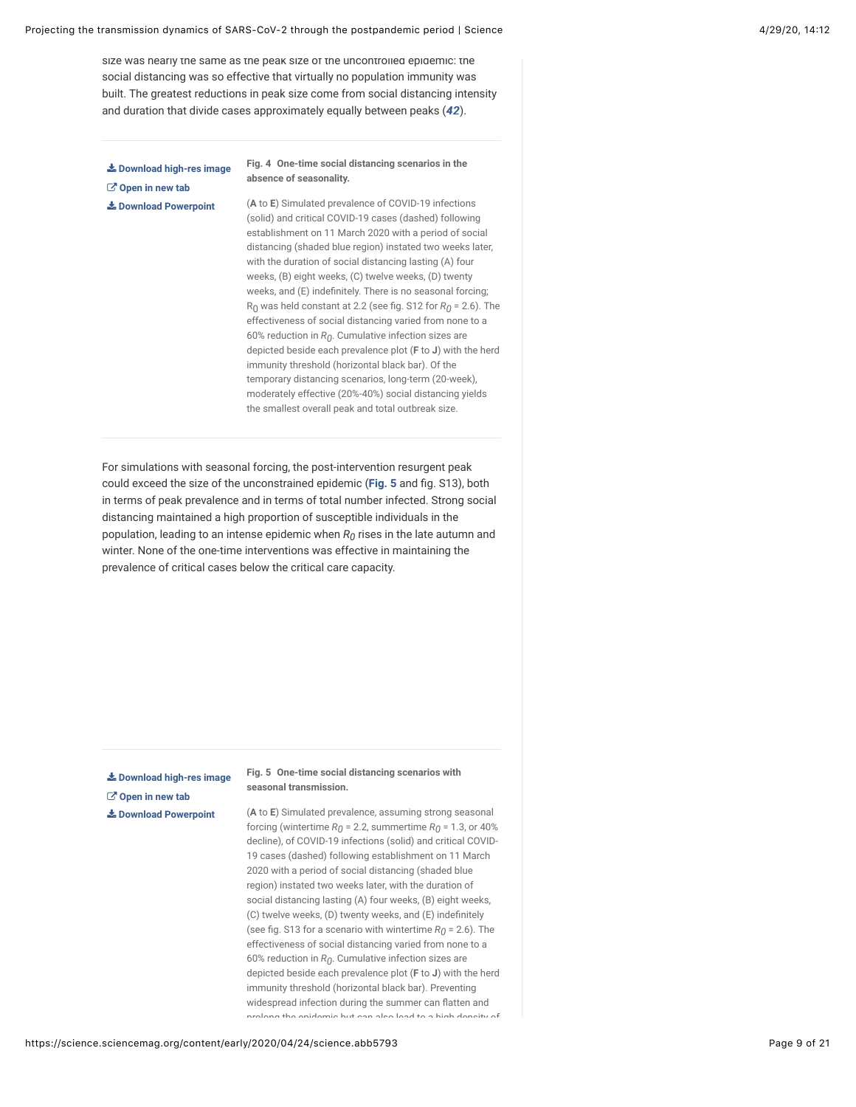size was nearly the same as the peak size of the uncontrolled epidemic: the social distancing was so effective that virtually no population immunity was built. The greatest reductions in peak size come from social distancing intensity and duration that divide cases approximately equally between peaks (*[42](#page-16-10)*).

<span id="page-8-0"></span>**[Download high-res image](https://science.sciencemag.org/content/sci/early/2020/04/24/science.abb5793/F4.large.jpg?download=true) [Open in new tab](https://science.sciencemag.org/content/sci/early/2020/04/24/science.abb5793/F4.large.jpg) [Download Powerpoint](https://science.sciencemag.org/highwire/powerpoint/743725)**

<span id="page-8-2"></span>**Fig. 4 One-time social distancing scenarios in the absence of seasonality.**

(**A** to **E**) Simulated prevalence of COVID-19 infections (solid) and critical COVID-19 cases (dashed) following establishment on 11 March 2020 with a period of social distancing (shaded blue region) instated two weeks later, with the duration of social distancing lasting (A) four weeks, (B) eight weeks, (C) twelve weeks, (D) twenty weeks, and  $(E)$  indefinitely. There is no seasonal forcing;  $R_0$  was held constant at 2.2 (see fig. S12 for  $R_0$  = 2.6). The effectiveness of social distancing varied from none to a 60% reduction in  $R_0$ . Cumulative infection sizes are depicted beside each prevalence plot (**F** to **J**) with the herd immunity threshold (horizontal black bar). Of the temporary distancing scenarios, long-term (20-week), moderately effective (20%-40%) social distancing yields the smallest overall peak and total outbreak size.

For simulations with seasonal forcing, the post-intervention resurgent peak could exceed the size of the unconstrained epidemic ([Fig. 5](#page-8-1) and fig. S13), both in terms of peak prevalence and in terms of total number infected. Strong social distancing maintained a high proportion of susceptible individuals in the population, leading to an intense epidemic when  $R_0$  rises in the late autumn and winter. None of the one-time interventions was effective in maintaining the prevalence of critical cases below the critical care capacity.

<span id="page-8-1"></span>**[Download high-res image](https://science.sciencemag.org/content/sci/early/2020/04/24/science.abb5793/F5.large.jpg?download=true) [Open in new tab](https://science.sciencemag.org/content/sci/early/2020/04/24/science.abb5793/F5.large.jpg) [Download Powerpoint](https://science.sciencemag.org/highwire/powerpoint/743719)**

**Fig. 5 One-time social distancing scenarios with seasonal transmission.**

(**A** to **E**) Simulated prevalence, assuming strong seasonal forcing (wintertime  $R_0$  = 2.2, summertime  $R_0$  = 1.3, or 40% decline), of COVID-19 infections (solid) and critical COVID-19 cases (dashed) following establishment on 11 March 2020 with a period of social distancing (shaded blue region) instated two weeks later, with the duration of social distancing lasting (A) four weeks, (B) eight weeks, (C) twelve weeks, (D) twenty weeks, and (E) indefinitely (see fig. S13 for a scenario with wintertime  $R_{0}$  = 2.6). The effectiveness of social distancing varied from none to a 60% reduction in  $R_0$ . Cumulative infection sizes are depicted beside each prevalence plot (**F** to **J**) with the herd immunity threshold (horizontal black bar). Preventing widespread infection during the summer can flatten and prolong the epidemic but can also lead to a high density of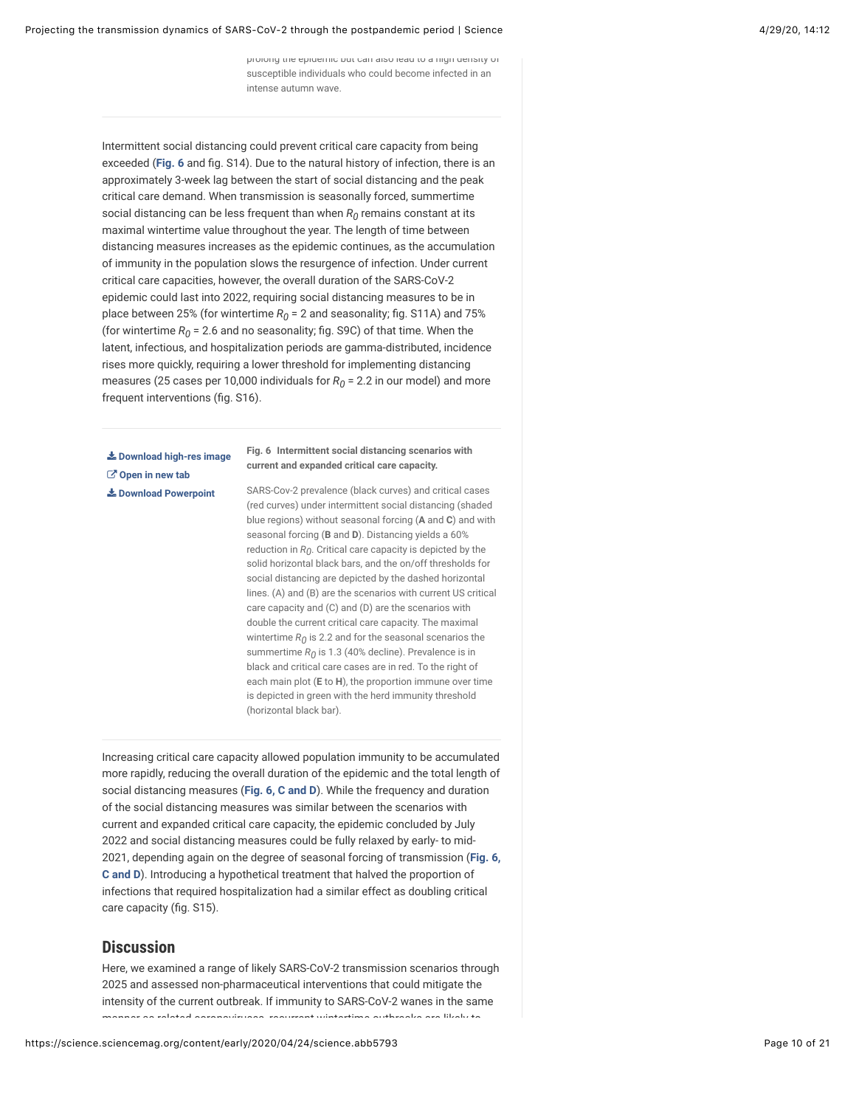prolong the epidemic but can also lead to a high density of susceptible individuals who could become infected in an intense autumn wave.

Intermittent social distancing could prevent critical care capacity from being exceeded ([Fig. 6](#page-9-1) and fig. S14). Due to the natural history of infection, there is an approximately 3-week lag between the start of social distancing and the peak critical care demand. When transmission is seasonally forced, summertime social distancing can be less frequent than when  $R_0$  remains constant at its maximal wintertime value throughout the year. The length of time between distancing measures increases as the epidemic continues, as the accumulation of immunity in the population slows the resurgence of infection. Under current critical care capacities, however, the overall duration of the SARS-CoV-2 epidemic could last into 2022, requiring social distancing measures to be in place between 25% (for wintertime  $R_0$  = 2 and seasonality; fig. S11A) and 75% (for wintertime  $R_0$  = 2.6 and no seasonality; fig. S9C) of that time. When the latent, infectious, and hospitalization periods are gamma-distributed, incidence rises more quickly, requiring a lower threshold for implementing distancing measures (25 cases per 10,000 individuals for  $R_0$  = 2.2 in our model) and more frequent interventions (fig. S16).

<span id="page-9-1"></span>**[Download high-res image](https://science.sciencemag.org/content/sci/early/2020/04/24/science.abb5793/F6.large.jpg?download=true) [Open in new tab](https://science.sciencemag.org/content/sci/early/2020/04/24/science.abb5793/F6.large.jpg) [Download Powerpoint](https://science.sciencemag.org/highwire/powerpoint/743729)**

**Fig. 6 Intermittent social distancing scenarios with current and expanded critical care capacity.**

SARS-Cov-2 prevalence (black curves) and critical cases (red curves) under intermittent social distancing (shaded blue regions) without seasonal forcing (**A** and **C**) and with seasonal forcing (**B** and **D**). Distancing yields a 60% reduction in  $R_0$ . Critical care capacity is depicted by the solid horizontal black bars, and the on/off thresholds for social distancing are depicted by the dashed horizontal lines. (A) and (B) are the scenarios with current US critical care capacity and (C) and (D) are the scenarios with double the current critical care capacity. The maximal wintertime  $R_{\textit{O}}$  is 2.2 and for the seasonal scenarios the summertime  $R_0$  is 1.3 (40% decline). Prevalence is in black and critical care cases are in red. To the right of each main plot (**E** to **H**), the proportion immune over time is depicted in green with the herd immunity threshold (horizontal black bar).

Increasing critical care capacity allowed population immunity to be accumulated more rapidly, reducing the overall duration of the epidemic and the total length of social distancing measures (**[Fig. 6, C and D](#page-9-1)**). While the frequency and duration of the social distancing measures was similar between the scenarios with current and expanded critical care capacity, the epidemic concluded by July 2022 and social distancing measures could be fully relaxed by early- to mid-[2021, depending again on the degree of seasonal forcing of transmission \(](#page-9-1)**Fig. 6, C and D**). Introducing a hypothetical treatment that halved the proportion of infections that required hospitalization had a similar effect as doubling critical care capacity (fig. S15).

## <span id="page-9-0"></span>**Discussion**

Here, we examined a range of likely SARS-CoV-2 transmission scenarios through 2025 and assessed non-pharmaceutical interventions that could mitigate the intensity of the current outbreak. If immunity to SARS-CoV-2 wanes in the same manner as related coronaviruses, recurrent wintertime outbreaks are likely to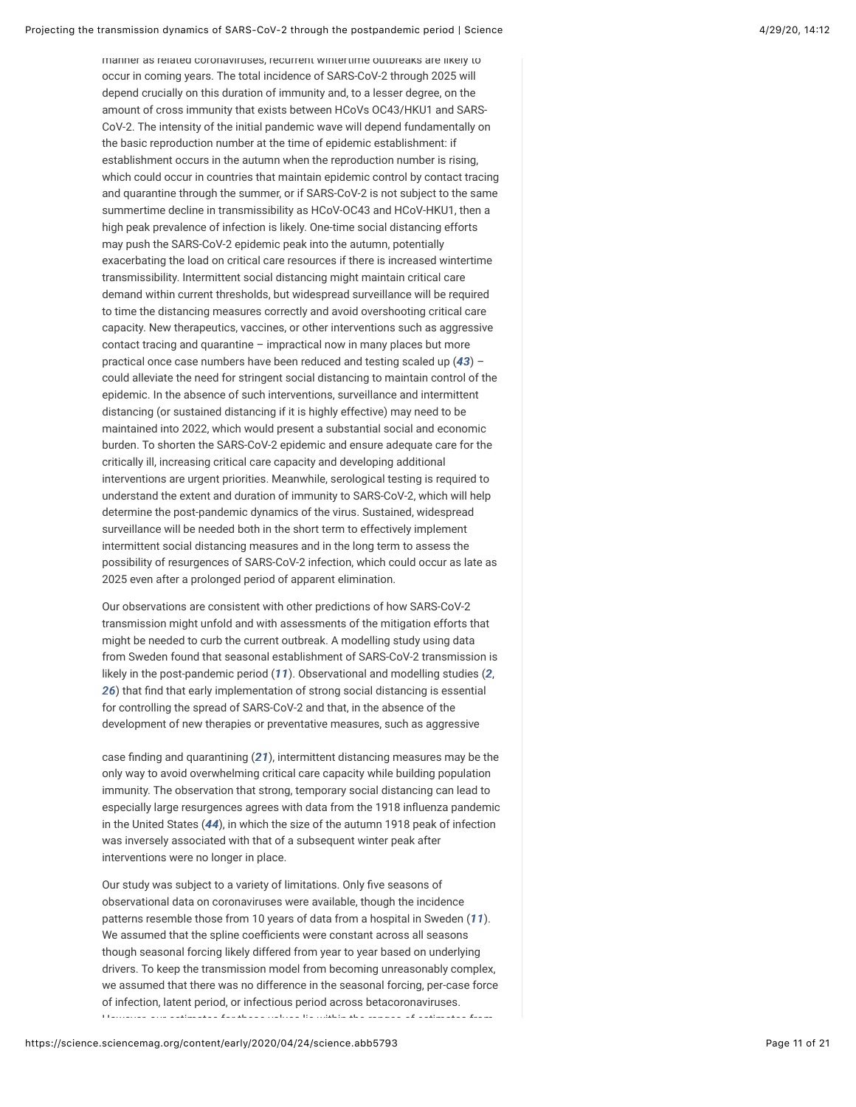manner as related coronaviruses, recurrent wintertime outbreaks are likely to occur in coming years. The total incidence of SARS-CoV-2 through 2025 will depend crucially on this duration of immunity and, to a lesser degree, on the amount of cross immunity that exists between HCoVs OC43/HKU1 and SARS-CoV-2. The intensity of the initial pandemic wave will depend fundamentally on the basic reproduction number at the time of epidemic establishment: if establishment occurs in the autumn when the reproduction number is rising, which could occur in countries that maintain epidemic control by contact tracing and quarantine through the summer, or if SARS-CoV-2 is not subject to the same summertime decline in transmissibility as HCoV-OC43 and HCoV-HKU1, then a high peak prevalence of infection is likely. One-time social distancing efforts may push the SARS-CoV-2 epidemic peak into the autumn, potentially exacerbating the load on critical care resources if there is increased wintertime transmissibility. Intermittent social distancing might maintain critical care demand within current thresholds, but widespread surveillance will be required to time the distancing measures correctly and avoid overshooting critical care capacity. New therapeutics, vaccines, or other interventions such as aggressive contact tracing and quarantine – impractical now in many places but more practical once case numbers have been reduced and testing scaled up (*[43](#page-16-11)*) – could alleviate the need for stringent social distancing to maintain control of the epidemic. In the absence of such interventions, surveillance and intermittent distancing (or sustained distancing if it is highly effective) may need to be maintained into 2022, which would present a substantial social and economic burden. To shorten the SARS-CoV-2 epidemic and ensure adequate care for the critically ill, increasing critical care capacity and developing additional interventions are urgent priorities. Meanwhile, serological testing is required to understand the extent and duration of immunity to SARS-CoV-2, which will help determine the post-pandemic dynamics of the virus. Sustained, widespread surveillance will be needed both in the short term to effectively implement intermittent social distancing measures and in the long term to assess the possibility of resurgences of SARS-CoV-2 infection, which could occur as late as 2025 even after a prolonged period of apparent elimination.

<span id="page-10-0"></span>Our observations are consistent with other predictions of how SARS-CoV-2 transmission might unfold and with assessments of the mitigation efforts that might be needed to curb the current outbreak. A modelling study using data from Sweden found that seasonal establishment of SARS-CoV-2 transmission is likely in the post-pandemic period (*[11](#page-14-5)*). Observational and modelling studies (*[2](#page-13-1)*, [26](#page-15-7)) that find that early implementation of strong social distancing is essential for controlling the spread of SARS-CoV-2 and that, in the absence of the development of new therapies or preventative measures, such as aggressive

case knding and quarantining (*[21](#page-15-2)*), intermittent distancing measures may be the only way to avoid overwhelming critical care capacity while building population immunity. The observation that strong, temporary social distancing can lead to especially large resurgences agrees with data from the 1918 influenza pandemic in the United States (*[44](#page-17-0)*), in which the size of the autumn 1918 peak of infection was inversely associated with that of a subsequent winter peak after interventions were no longer in place.

<span id="page-10-1"></span>Our study was subject to a variety of limitations. Only five seasons of observational data on coronaviruses were available, though the incidence patterns resemble those from 10 years of data from a hospital in Sweden (*[11](#page-14-5)*). We assumed that the spline coefficients were constant across all seasons though seasonal forcing likely differed from year to year based on underlying drivers. To keep the transmission model from becoming unreasonably complex, we assumed that there was no difference in the seasonal forcing, per-case force of infection, latent period, or infectious period across betacoronaviruses. However, our estimates for these values lie within the ranges of estimates from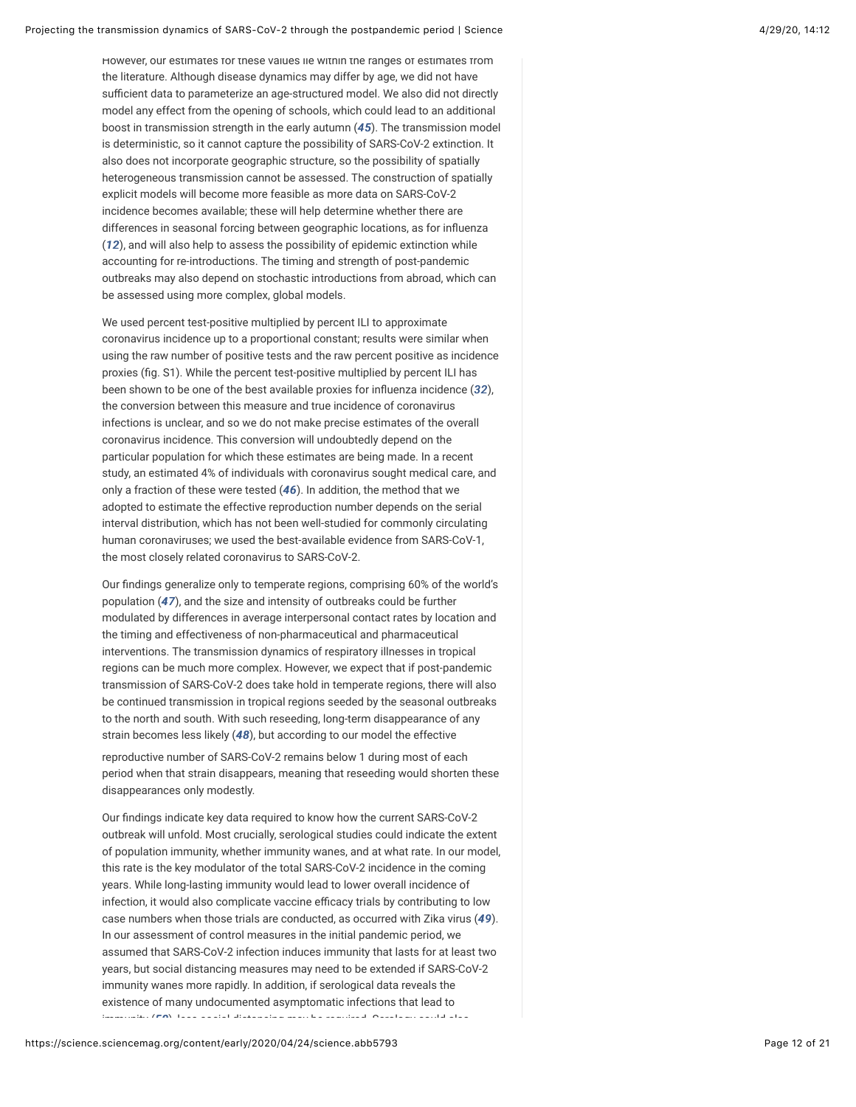<span id="page-11-0"></span>However, our estimates for these values lie within the ranges of estimates from the literature. Although disease dynamics may differ by age, we did not have sufficient data to parameterize an age-structured model. We also did not directly model any effect from the opening of schools, which could lead to an additional boost in transmission strength in the early autumn (*[45](#page-17-1)*). The transmission model is deterministic, so it cannot capture the possibility of SARS-CoV-2 extinction. It also does not incorporate geographic structure, so the possibility of spatially heterogeneous transmission cannot be assessed. The construction of spatially explicit models will become more feasible as more data on SARS-CoV-2 incidence becomes available; these will help determine whether there are differences in seasonal forcing between geographic locations, as for influenza (*[12](#page-14-6)*), and will also help to assess the possibility of epidemic extinction while accounting for re-introductions. The timing and strength of post-pandemic outbreaks may also depend on stochastic introductions from abroad, which can be assessed using more complex, global models.

We used percent test-positive multiplied by percent ILI to approximate coronavirus incidence up to a proportional constant; results were similar when using the raw number of positive tests and the raw percent positive as incidence proxies (fig. S1). While the percent test-positive multiplied by percent ILI has been shown to be one of the best available proxies for influenza incidence ([32](#page-16-1)), the conversion between this measure and true incidence of coronavirus infections is unclear, and so we do not make precise estimates of the overall coronavirus incidence. This conversion will undoubtedly depend on the particular population for which these estimates are being made. In a recent study, an estimated 4% of individuals with coronavirus sought medical care, and only a fraction of these were tested (*[46](#page-17-2)*). In addition, the method that we adopted to estimate the effective reproduction number depends on the serial interval distribution, which has not been well-studied for commonly circulating human coronaviruses; we used the best-available evidence from SARS-CoV-1, the most closely related coronavirus to SARS-CoV-2.

<span id="page-11-2"></span><span id="page-11-1"></span>Our findings generalize only to temperate regions, comprising 60% of the world's population (*[47](#page-17-3)*), and the size and intensity of outbreaks could be further modulated by differences in average interpersonal contact rates by location and the timing and effectiveness of non-pharmaceutical and pharmaceutical interventions. The transmission dynamics of respiratory illnesses in tropical regions can be much more complex. However, we expect that if post-pandemic transmission of SARS-CoV-2 does take hold in temperate regions, there will also be continued transmission in tropical regions seeded by the seasonal outbreaks to the north and south. With such reseeding, long-term disappearance of any strain becomes less likely (*[48](#page-17-4)*), but according to our model the effective

<span id="page-11-3"></span>reproductive number of SARS-CoV-2 remains below 1 during most of each period when that strain disappears, meaning that reseeding would shorten these disappearances only modestly.

<span id="page-11-5"></span><span id="page-11-4"></span>Our findings indicate key data required to know how the current SARS-CoV-2 outbreak will unfold. Most crucially, serological studies could indicate the extent of population immunity, whether immunity wanes, and at what rate. In our model, this rate is the key modulator of the total SARS-CoV-2 incidence in the coming years. While long-lasting immunity would lead to lower overall incidence of infection, it would also complicate vaccine efficacy trials by contributing to low case numbers when those trials are conducted, as occurred with Zika virus (*[49](#page-17-5)*). In our assessment of control measures in the initial pandemic period, we assumed that SARS-CoV-2 infection induces immunity that lasts for at least two years, but social distancing measures may need to be extended if SARS-CoV-2 immunity wanes more rapidly. In addition, if serological data reveals the existence of many undocumented asymptomatic infections that lead to immunity (*[50](#page-17-6)*), less social distancing may be required. Serology could also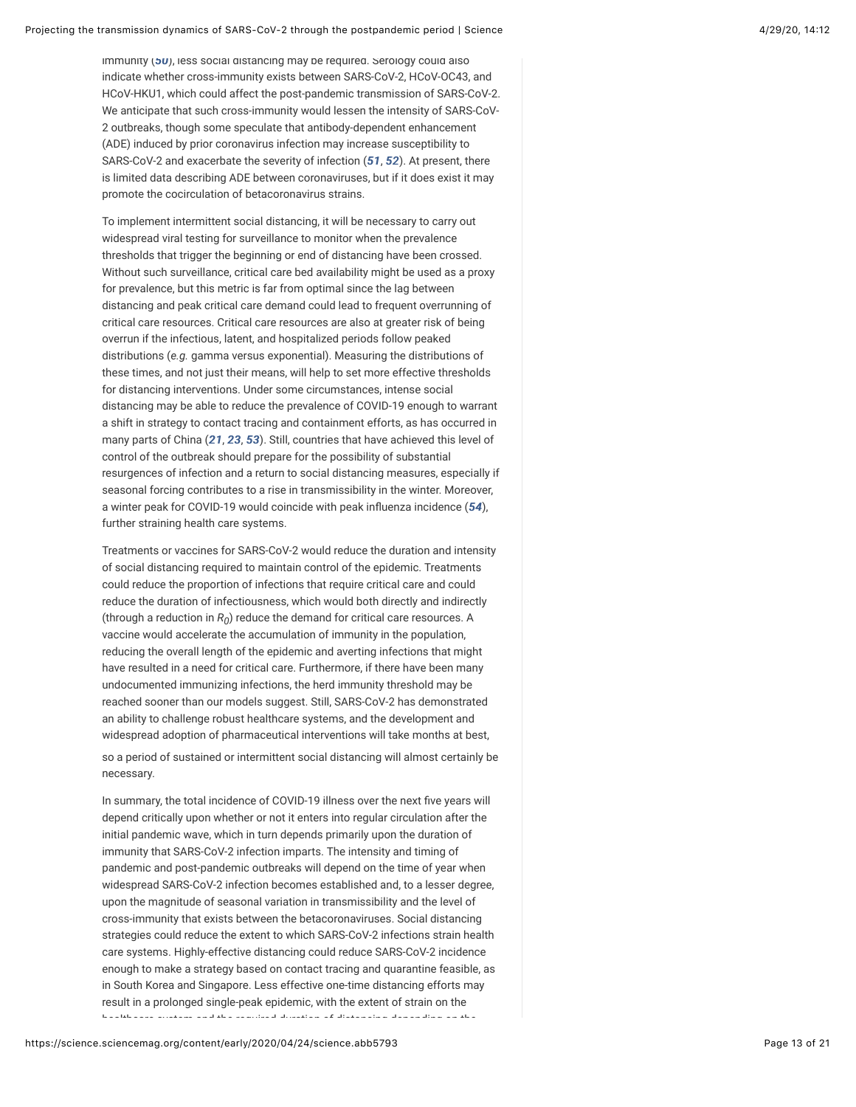immunity (*[50](#page-17-6)*), less social distancing may be required. Serology could also indicate whether cross-immunity exists between SARS-CoV-2, HCoV-OC43, and HCoV-HKU1, which could affect the post-pandemic transmission of SARS-CoV-2. We anticipate that such cross-immunity would lessen the intensity of SARS-CoV-2 outbreaks, though some speculate that antibody-dependent enhancement (ADE) induced by prior coronavirus infection may increase susceptibility to SARS-CoV-2 and exacerbate the severity of infection (*[51](#page-17-7)*, *[52](#page-17-8)*). At present, there is limited data describing ADE between coronaviruses, but if it does exist it may promote the cocirculation of betacoronavirus strains.

<span id="page-12-1"></span><span id="page-12-0"></span>To implement intermittent social distancing, it will be necessary to carry out widespread viral testing for surveillance to monitor when the prevalence thresholds that trigger the beginning or end of distancing have been crossed. Without such surveillance, critical care bed availability might be used as a proxy for prevalence, but this metric is far from optimal since the lag between distancing and peak critical care demand could lead to frequent overrunning of critical care resources. Critical care resources are also at greater risk of being overrun if the infectious, latent, and hospitalized periods follow peaked distributions (*e.g.* gamma versus exponential). Measuring the distributions of these times, and not just their means, will help to set more effective thresholds for distancing interventions. Under some circumstances, intense social distancing may be able to reduce the prevalence of COVID-19 enough to warrant a shift in strategy to contact tracing and containment efforts, as has occurred in many parts of China (*[21](#page-15-2)*, *[23](#page-15-4)*, *[53](#page-17-9)*). Still, countries that have achieved this level of control of the outbreak should prepare for the possibility of substantial resurgences of infection and a return to social distancing measures, especially if seasonal forcing contributes to a rise in transmissibility in the winter. Moreover, a winter peak for COVID-19 would coincide with peak influenza incidence ([54](#page-17-10)), further straining health care systems.

<span id="page-12-3"></span><span id="page-12-2"></span>Treatments or vaccines for SARS-CoV-2 would reduce the duration and intensity of social distancing required to maintain control of the epidemic. Treatments could reduce the proportion of infections that require critical care and could reduce the duration of infectiousness, which would both directly and indirectly (through a reduction in  $R_0$ ) reduce the demand for critical care resources. A vaccine would accelerate the accumulation of immunity in the population, reducing the overall length of the epidemic and averting infections that might have resulted in a need for critical care. Furthermore, if there have been many undocumented immunizing infections, the herd immunity threshold may be reached sooner than our models suggest. Still, SARS-CoV-2 has demonstrated an ability to challenge robust healthcare systems, and the development and widespread adoption of pharmaceutical interventions will take months at best,

so a period of sustained or intermittent social distancing will almost certainly be necessary.

In summary, the total incidence of COVID-19 illness over the next five years will depend critically upon whether or not it enters into regular circulation after the initial pandemic wave, which in turn depends primarily upon the duration of immunity that SARS-CoV-2 infection imparts. The intensity and timing of pandemic and post-pandemic outbreaks will depend on the time of year when widespread SARS-CoV-2 infection becomes established and, to a lesser degree, upon the magnitude of seasonal variation in transmissibility and the level of cross-immunity that exists between the betacoronaviruses. Social distancing strategies could reduce the extent to which SARS-CoV-2 infections strain health care systems. Highly-effective distancing could reduce SARS-CoV-2 incidence enough to make a strategy based on contact tracing and quarantine feasible, as in South Korea and Singapore. Less effective one-time distancing efforts may result in a prolonged single-peak epidemic, with the extent of strain on the healthcare system and the required duration of distancing depending on the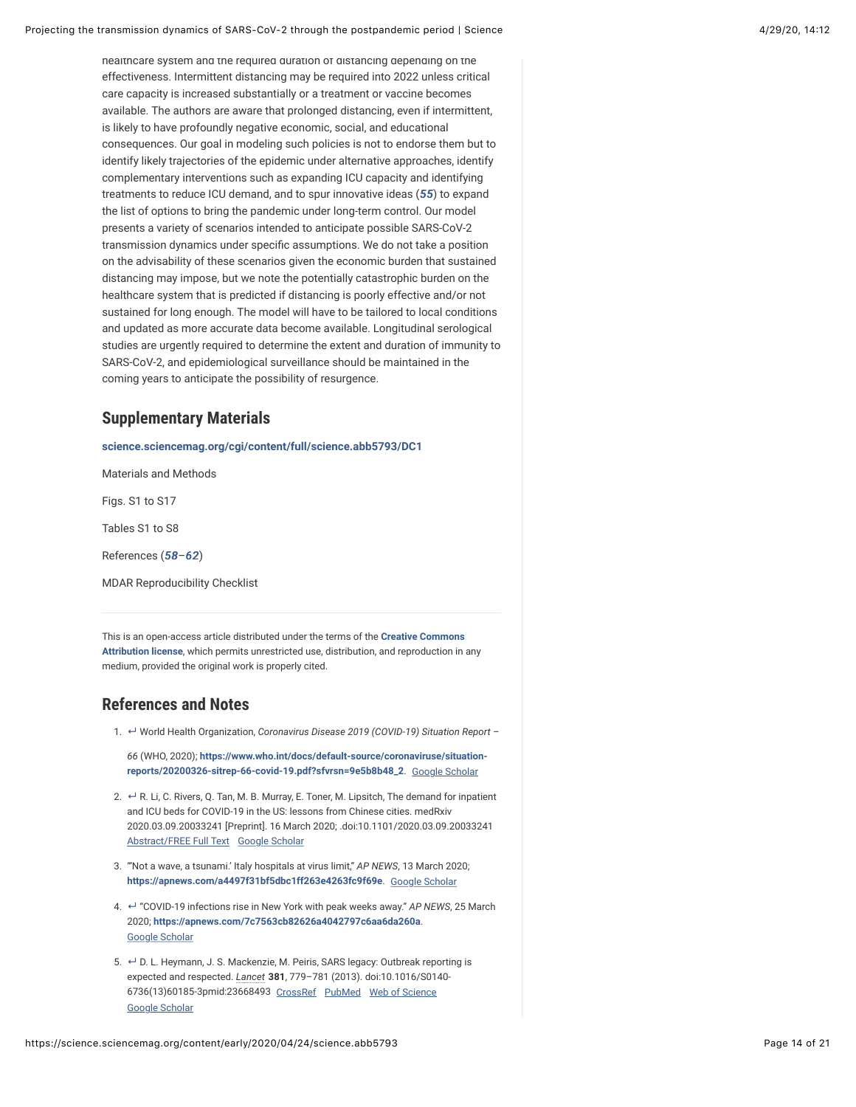<span id="page-13-6"></span>healthcare system and the required duration of distancing depending on the effectiveness. Intermittent distancing may be required into 2022 unless critical care capacity is increased substantially or a treatment or vaccine becomes available. The authors are aware that prolonged distancing, even if intermittent, is likely to have profoundly negative economic, social, and educational consequences. Our goal in modeling such policies is not to endorse them but to identify likely trajectories of the epidemic under alternative approaches, identify complementary interventions such as expanding ICU capacity and identifying treatments to reduce ICU demand, and to spur innovative ideas (*[55](#page-17-11)*) to expand the list of options to bring the pandemic under long-term control. Our model presents a variety of scenarios intended to anticipate possible SARS-CoV-2 transmission dynamics under specific assumptions. We do not take a position on the advisability of these scenarios given the economic burden that sustained distancing may impose, but we note the potentially catastrophic burden on the healthcare system that is predicted if distancing is poorly effective and/or not sustained for long enough. The model will have to be tailored to local conditions and updated as more accurate data become available. Longitudinal serological studies are urgently required to determine the extent and duration of immunity to SARS-CoV-2, and epidemiological surveillance should be maintained in the coming years to anticipate the possibility of resurgence.

## <span id="page-13-4"></span>**Supplementary Materials**

**[science.sciencemag.org/cgi/content/full/science.abb5793/DC1](https://science.sciencemag.org/cgi/content/full/science.abb5793/DC1)**

Materials and Methods

Figs. S1 to S17

Tables S1 to S8

<span id="page-13-8"></span><span id="page-13-7"></span>References (*[58](#page-17-12)*–*[62](#page-18-0)*)

MDAR Reproducibility Checklist

This is an open-access article distributed under the terms of the **Creative Commons Attribution license**[, which permits unrestricted use, distribution, and reproduction in](http://creativecommons.org/licenses/by/4.0/) any medium, provided the original work is properly cited.

## <span id="page-13-5"></span>**References and Notes**

<span id="page-13-0"></span>1. World Health Organization, *Coronavirus Disease 2019 (COVID-19) Situation Report –* **↵**

*66* (WHO, 2020); **[https://www.who.int/docs/default-source/coronaviruse/situation](https://www.who.int/docs/default-source/coronaviruse/situation-reports/20200326-sitrep-66-covid-19.pdf?sfvrsn=9e5b8b48_2)reports/20200326-sitrep-66-covid-19.pdf?sfvrsn=9e5b8b48\_2**. [Google Scholar](https://science.sciencemag.org/lookup/google-scholar?link_type=googlescholar&gs_type=article)

- <span id="page-13-1"></span>2. ← R. Li, C. Rivers, Q. Tan, M. B. Murray, E. Toner, M. Lipsitch, The demand for inpatient and ICU beds for COVID-19 in the US: lessons from Chinese cities. medRxiv 2020.03.09.20033241 [Preprint]. 16 March 2020; .doi:10.1101/2020.03.09.20033241 [Abstract/FREE Full Text](https://science.sciencemag.org/lookup/ijlink/YTozOntzOjQ6InBhdGgiO3M6MTQ6Ii9sb29rdXAvaWpsaW5rIjtzOjU6InF1ZXJ5IjthOjQ6e3M6ODoibGlua1R5cGUiO3M6NDoiQUJTVCI7czoxMToiam91cm5hbENvZGUiO3M6NzoibWVkcnhpdiI7czo1OiJyZXNpZCI7czoyMToiMjAyMC4wMy4wOS4yMDAzMzI0MXYyIjtzOjQ6ImF0b20iO3M6NDI6Ii9zY2kvZWFybHkvMjAyMC8wNC8yNC9zY2llbmNlLmFiYjU3OTMuYXRvbSI7fXM6ODoiZnJhZ21lbnQiO3M6MDoiIjt9) [Google Scholar](https://science.sciencemag.org/lookup/google-scholar?link_type=googlescholar&gs_type=article&q_txt=R.+Li%2C+C.+Rivers%2C+Q.+Tan%2C+M.+B.+Murray%2C+E.+Toner%2C+M.+Lipsitch%2C+The+demand+for+inpatient+and+ICU+beds+for+COVID-19+in+the+US%3A+lessons+from+Chinese+cities.+medRxiv+2020.03.09.20033241+%5BPreprint%5D.+16+March+2020%3B+.doi%3A10.1101%2F2020.03.09.20033241)
- 3. "'Not a wave, a tsunami.' Italy hospitals at virus limit," *AP NEWS*, 13 March 2020; **<https://apnews.com/a4497f31bf5dbc1ff263e4263fc9f69e>**. [Google Scholar](https://science.sciencemag.org/lookup/google-scholar?link_type=googlescholar&gs_type=article)
- <span id="page-13-2"></span>4. "COVID-19 infections rise in New York with peak weeks away." *AP NEWS*, 25 March **↵** 2020; **<https://apnews.com/7c7563cb82626a4042797c6aa6da260a>**. [Google Scholar](https://science.sciencemag.org/lookup/google-scholar?link_type=googlescholar&gs_type=article)
- <span id="page-13-3"></span>5. **←** D. L. Heymann, J. S. Mackenzie, M. Peiris, SARS legacy: Outbreak reporting is expected and respected. *Lancet* **381**, 779–781 (2013). doi:10.1016/S0140- 6736(13)60185-3pmid:23668493 [CrossRef](https://science.sciencemag.org/lookup/external-ref?access_num=10.1016/S0140-6736(13)60185-3&link_type=DOI) [PubMed](https://science.sciencemag.org/lookup/external-ref?access_num=23668493&link_type=MED&atom=%2Fsci%2Fearly%2F2020%2F04%2F24%2Fscience.abb5793.atom) [Web of Science](https://science.sciencemag.org/lookup/external-ref?access_num=000316060600005&link_type=ISI) [Google Scholar](https://science.sciencemag.org/lookup/google-scholar?link_type=googlescholar&gs_type=article&author%5B0%5D=D.%20L.+Heymann&author%5B1%5D=J.%20S.+Mackenzie&author%5B2%5D=M.+Peiris&title=SARS+legacy:+Outbreak+reporting+is+expected+and+respected&publication_year=2013&journal=Lancet&volume=381&pages=779-781)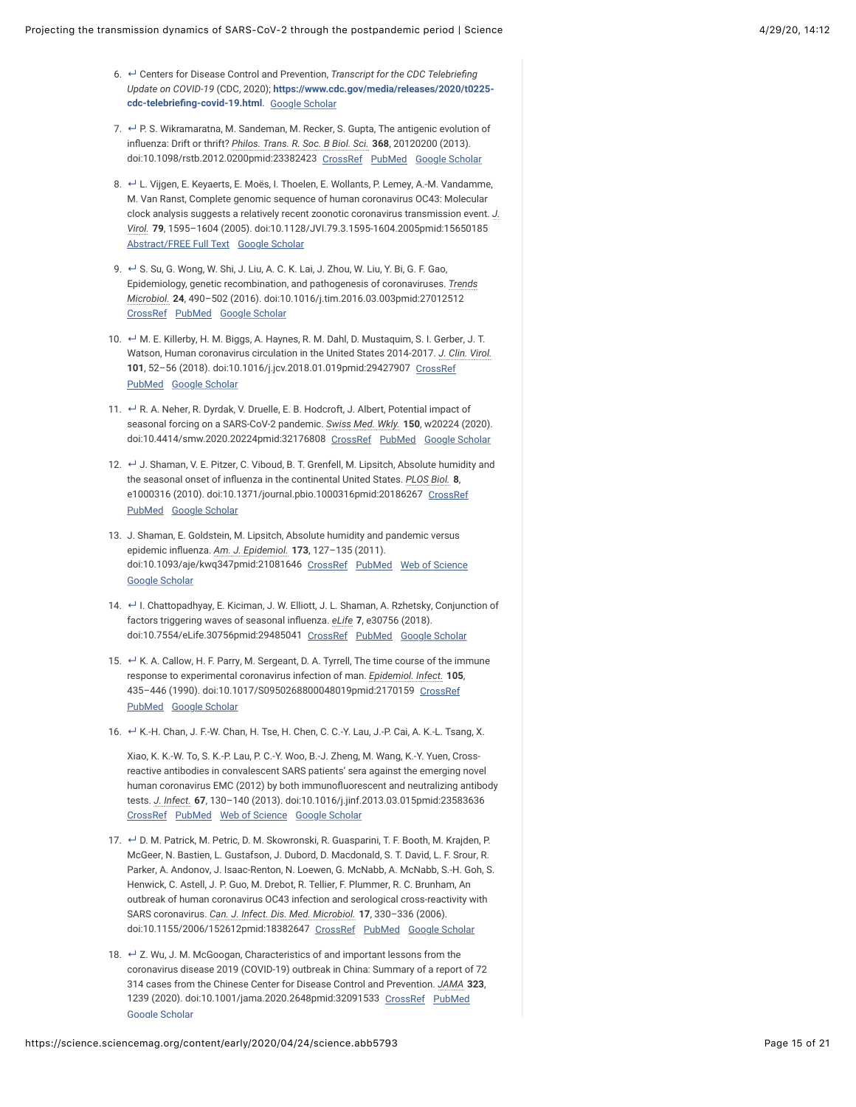- <span id="page-14-0"></span>6. <sup>←</sup> Centers for Disease Control and Prevention, *Transcript for the CDC Telebriefing Update on COVID-19* (CDC, 2020); **[https://www.cdc.gov/media/releases/2020/t0225-](https://www.cdc.gov/media/releases/2020/t0225-cdc-telebriefing-covid-19.html)** cdc-telebriefing-covid-19.html. [Google Scholar](https://science.sciencemag.org/lookup/google-scholar?link_type=googlescholar&gs_type=article)
- <span id="page-14-1"></span>7. ↵ P. S. Wikramaratna, M. Sandeman, M. Recker, S. Gupta, The antigenic evolution of inbuenza: Drift or thrift? *Philos. Trans. R. Soc. B Biol. Sci.* **368**, 20120200 (2013). doi:10.1098/rstb.2012.0200pmid:23382423 [CrossRef](https://science.sciencemag.org/lookup/external-ref?access_num=10.1098/rstb.2012.0200&link_type=DOI) [PubMed](https://science.sciencemag.org/lookup/external-ref?access_num=23382423&link_type=MED&atom=%2Fsci%2Fearly%2F2020%2F04%2F24%2Fscience.abb5793.atom) [Google Scholar](https://science.sciencemag.org/lookup/google-scholar?link_type=googlescholar&gs_type=article&author%5B0%5D=P.%20S.+Wikramaratna&author%5B1%5D=M.+Sandeman&author%5B2%5D=M.+Recker&author%5B3%5D=S.+Gupta&title=The+antigenic+evolution+of+influenza:+Drift+or+thrift?&publication_year=2013&journal=Philos.+Trans.+R.+Soc.+B+Biol.+Sci.&volume=368)
- <span id="page-14-2"></span>8. ← L. Vijgen, E. Keyaerts, E. Moës, I. Thoelen, E. Wollants, P. Lemey, A.-M. Vandamme, M. Van Ranst, Complete genomic sequence of human coronavirus OC43: Molecular clock analysis suggests a relatively recent zoonotic coronavirus transmission event. *J. Virol.* **79**, 1595–1604 (2005). doi:10.1128/JVI.79.3.1595-1604.2005pmid:15650185 [Abstract/FREE Full Text](https://science.sciencemag.org/lookup/ijlink/YTozOntzOjQ6InBhdGgiO3M6MTQ6Ii9sb29rdXAvaWpsaW5rIjtzOjU6InF1ZXJ5IjthOjQ6e3M6ODoibGlua1R5cGUiO3M6NDoiQUJTVCI7czoxMToiam91cm5hbENvZGUiO3M6MzoianZpIjtzOjU6InJlc2lkIjtzOjk6Ijc5LzMvMTU5NSI7czo0OiJhdG9tIjtzOjQyOiIvc2NpL2Vhcmx5LzIwMjAvMDQvMjQvc2NpZW5jZS5hYmI1NzkzLmF0b20iO31zOjg6ImZyYWdtZW50IjtzOjA6IiI7fQ==) [Google Scholar](https://science.sciencemag.org/lookup/google-scholar?link_type=googlescholar&gs_type=article&author%5B0%5D=L.+Vijgen&author%5B1%5D=E.+Keyaerts&author%5B2%5D=E.+Mo%C3%ABs&author%5B3%5D=I.+Thoelen&author%5B4%5D=E.+Wollants&author%5B5%5D=P.+Lemey&author%5B6%5D=A.-M.+Vandamme&author%5B7%5D=M.+Van%20Ranst&title=Complete+genomic+sequence+of+human+coronavirus+OC43:+Molecular+clock+analysis+suggests+a+relatively+recent+zoonotic+coronavirus+transmission+event&publication_year=2005&journal=J.+Virol.&volume=79&pages=1595-1604)
- <span id="page-14-3"></span>9. ← S. Su, G. Wong, W. Shi, J. Liu, A. C. K. Lai, J. Zhou, W. Liu, Y. Bi, G. F. Gao, Epidemiology, genetic recombination, and pathogenesis of coronaviruses. *Trends Microbiol.* **24**, 490–502 (2016). doi:10.1016/j.tim.2016.03.003pmid:27012512 [CrossRef](https://science.sciencemag.org/lookup/external-ref?access_num=10.1016/j.tim.2016.03.003&link_type=DOI) [PubMed](https://science.sciencemag.org/lookup/external-ref?access_num=27012512&link_type=MED&atom=%2Fsci%2Fearly%2F2020%2F04%2F24%2Fscience.abb5793.atom) [Google Scholar](https://science.sciencemag.org/lookup/google-scholar?link_type=googlescholar&gs_type=article&author%5B0%5D=S.+Su&author%5B1%5D=G.+Wong&author%5B2%5D=W.+Shi&author%5B3%5D=J.+Liu&author%5B4%5D=A.%20C.%20K.+Lai&author%5B5%5D=J.+Zhou&author%5B6%5D=W.+Liu&author%5B7%5D=Y.+Bi&author%5B8%5D=G.%20F.+Gao&title=Epidemiology,+genetic+recombination,+and+pathogenesis+of+coronaviruses&publication_year=2016&journal=Trends+Microbiol.&volume=24&pages=490-502)
- <span id="page-14-4"></span>10. ↔ M. E. Killerby, H. M. Biggs, A. Haynes, R. M. Dahl, D. Mustaquim, S. I. Gerber, J. T. Watson, Human coronavirus circulation in the United States 2014-2017. *J. Clin. Virol.* 101, 52-56 (2018). doi:10.1016/j.jcv.2018.01.019pmid:29427907 [CrossRef](https://science.sciencemag.org/lookup/external-ref?access_num=10.1016/j.jcv.2018.01.019&link_type=DOI) [PubMed](https://science.sciencemag.org/lookup/external-ref?access_num=29427907&link_type=MED&atom=%2Fsci%2Fearly%2F2020%2F04%2F24%2Fscience.abb5793.atom) [Google Scholar](https://science.sciencemag.org/lookup/google-scholar?link_type=googlescholar&gs_type=article&author%5B0%5D=M.%20E.+Killerby&author%5B1%5D=H.%20M.+Biggs&author%5B2%5D=A.+Haynes&author%5B3%5D=R.%20M.+Dahl&author%5B4%5D=D.+Mustaquim&author%5B5%5D=S.%20I.+Gerber&author%5B6%5D=J.%20T.+Watson&title=Human+coronavirus+circulation+in+the+United+States+2014-2017&publication_year=2018&journal=J.+Clin.+Virol.&volume=101&pages=52-56)
- <span id="page-14-5"></span>11. ← R. A. Neher, R. Dyrdak, V. Druelle, E. B. Hodcroft, J. Albert, Potential impact of seasonal forcing on a SARS-CoV-2 pandemic. *Swiss Med. Wkly.* **150**, w20224 (2020). doi:10.4414/smw.2020.20224pmid:32176808 [CrossRef](https://science.sciencemag.org/lookup/external-ref?access_num=10.4414/smw.2020.20224&link_type=DOI) [PubMed](https://science.sciencemag.org/lookup/external-ref?access_num=32176808&link_type=MED&atom=%2Fsci%2Fearly%2F2020%2F04%2F24%2Fscience.abb5793.atom) [Google Scholar](https://science.sciencemag.org/lookup/google-scholar?link_type=googlescholar&gs_type=article&author%5B0%5D=R.%20A.+Neher&author%5B1%5D=R.+Dyrdak&author%5B2%5D=V.+Druelle&author%5B3%5D=E.%20B.+Hodcroft&author%5B4%5D=J.+Albert&title=Potential+impact+of+seasonal+forcing+on+a+SARS-CoV-2+pandemic&publication_year=2020&journal=Swiss+Med.+Wkly.&volume=150)
- <span id="page-14-6"></span>12. ← J. Shaman, V. E. Pitzer, C. Viboud, B. T. Grenfell, M. Lipsitch, Absolute humidity and the seasonal onset of influenza in the continental United States. *PLOS Biol.* 8, e1000316 (2010). doi:10.1371/journal.pbio.1000316pmid:20186267 [CrossRef](https://science.sciencemag.org/lookup/external-ref?access_num=10.1371/journal.pbio.1000316&link_type=DOI) [PubMed](https://science.sciencemag.org/lookup/external-ref?access_num=20186267&link_type=MED&atom=%2Fsci%2Fearly%2F2020%2F04%2F24%2Fscience.abb5793.atom) [Google Scholar](https://science.sciencemag.org/lookup/google-scholar?link_type=googlescholar&gs_type=article&author%5B0%5D=J.+Shaman&author%5B1%5D=V.%20E.+Pitzer&author%5B2%5D=C.+Viboud&author%5B3%5D=B.%20T.+Grenfell&author%5B4%5D=M.+Lipsitch&title=Absolute+humidity+and+the+seasonal+onset+of+influenza+in+the+continental+United+States&publication_year=2010&journal=PLOS+Biol.&volume=8)
- 13. J. Shaman, E. Goldstein, M. Lipsitch, Absolute humidity and pandemic versus epidemic inbuenza. *Am. J. Epidemiol.* **173**, 127–135 (2011). doi:10.1093/aje/kwq347pmid:21081646 [CrossRef](https://science.sciencemag.org/lookup/external-ref?access_num=10.1093/aje/kwq347&link_type=DOI) [PubMed](https://science.sciencemag.org/lookup/external-ref?access_num=21081646&link_type=MED&atom=%2Fsci%2Fearly%2F2020%2F04%2F24%2Fscience.abb5793.atom) [Web of Science](https://science.sciencemag.org/lookup/external-ref?access_num=000285627500001&link_type=ISI) [Google Scholar](https://science.sciencemag.org/lookup/google-scholar?link_type=googlescholar&gs_type=article&author%5B0%5D=J.+Shaman&author%5B1%5D=E.+Goldstein&author%5B2%5D=M.+Lipsitch&title=Absolute+humidity+and+pandemic+versus+epidemic+influenza&publication_year=2011&journal=Am.+J.+Epidemiol.&volume=173&pages=127-135)
- <span id="page-14-7"></span>14. ↔ I. Chattopadhyay, E. Kiciman, J. W. Elliott, J. L. Shaman, A. Rzhetsky, Conjunction of factors triggering waves of seasonal inbuenza. *eLife* **7**, e30756 (2018). doi:10.7554/eLife.30756pmid:29485041 [CrossRef](https://science.sciencemag.org/lookup/external-ref?access_num=10.7554/eLife.30756&link_type=DOI) [PubMed](https://science.sciencemag.org/lookup/external-ref?access_num=29485041&link_type=MED&atom=%2Fsci%2Fearly%2F2020%2F04%2F24%2Fscience.abb5793.atom) [Google Scholar](https://science.sciencemag.org/lookup/google-scholar?link_type=googlescholar&gs_type=article&author%5B0%5D=I.+Chattopadhyay&author%5B1%5D=E.+Kiciman&author%5B2%5D=J.%20W.+Elliott&author%5B3%5D=J.%20L.+Shaman&author%5B4%5D=A.+Rzhetsky&title=Conjunction+of+factors+triggering+waves+of+seasonal+influenza&publication_year=2018&journal=eLife&volume=7)
- <span id="page-14-8"></span>15. ← K. A. Callow, H. F. Parry, M. Sergeant, D. A. Tyrrell, The time course of the immune response to experimental coronavirus infection of man. *Epidemiol. Infect.* **105**, 435–446 (1990). doi:10.1017/S0950268800048019pmid:2170159 [CrossRef](https://science.sciencemag.org/lookup/external-ref?access_num=10.1017/S0950268800048019&link_type=DOI) [PubMed](https://science.sciencemag.org/lookup/external-ref?access_num=2170159&link_type=MED&atom=%2Fsci%2Fearly%2F2020%2F04%2F24%2Fscience.abb5793.atom) [Google Scholar](https://science.sciencemag.org/lookup/google-scholar?link_type=googlescholar&gs_type=article&author%5B0%5D=K.%20A.+Callow&author%5B1%5D=H.%20F.+Parry&author%5B2%5D=M.+Sergeant&author%5B3%5D=D.%20A.+Tyrrell&title=The+time+course+of+the+immune+response+to+experimental+coronavirus+infection+of+man&publication_year=1990&journal=Epidemiol.+Infect.&volume=105&pages=435-446)
- <span id="page-14-9"></span>16. ← K.-H. Chan, J. F.-W. Chan, H. Tse, H. Chen, C. C.-Y. Lau, J.-P. Cai, A. K.-L. Tsang, X.

Xiao, K. K.-W. To, S. K.-P. Lau, P. C.-Y. Woo, B.-J. Zheng, M. Wang, K.-Y. Yuen, Crossreactive antibodies in convalescent SARS patients' sera against the emerging novel human coronavirus EMC (2012) by both immunofluorescent and neutralizing antibody tests. *J. Infect.* **67**, 130–140 (2013). doi:10.1016/j.jinf.2013.03.015pmid:23583636 [CrossRef](https://science.sciencemag.org/lookup/external-ref?access_num=10.1016/j.jinf.2013.03.015&link_type=DOI) [PubMed](https://science.sciencemag.org/lookup/external-ref?access_num=23583636&link_type=MED&atom=%2Fsci%2Fearly%2F2020%2F04%2F24%2Fscience.abb5793.atom) [Web of Science](https://science.sciencemag.org/lookup/external-ref?access_num=000320600300005&link_type=ISI) [Google Scholar](https://science.sciencemag.org/lookup/google-scholar?link_type=googlescholar&gs_type=article&author%5B0%5D=K.-H.+Chan&author%5B1%5D=J.%20F.-W.+Chan&author%5B2%5D=H.+Tse&author%5B3%5D=H.+Chen&author%5B4%5D=C.%20C.-Y.+Lau&author%5B5%5D=J.-P.+Cai&author%5B6%5D=A.%20K.-L.+Tsang&author%5B7%5D=X.+Xiao&author%5B8%5D=K.%20K.-W.+To&author%5B9%5D=S.%20K.-P.+Lau&author%5B10%5D=P.%20C.-Y.+Woo&author%5B11%5D=B.-J.+Zheng&author%5B12%5D=M.+Wang&author%5B13%5D=K.-Y.+Yuen&title=Cross-reactive+antibodies+in+convalescent+SARS+patients%E2%80%99+sera+against+the+emerging+novel+human+coronavirus+EMC+(2012)+by+both+immunofluorescent+and+neutralizing+antibody+tests&publication_year=2013&journal=J.+Infect.&volume=67&pages=130-140)

- <span id="page-14-10"></span>17. ← D. M. Patrick, M. Petric, D. M. Skowronski, R. Guasparini, T. F. Booth, M. Krajden, P. McGeer, N. Bastien, L. Gustafson, J. Dubord, D. Macdonald, S. T. David, L. F. Srour, R. Parker, A. Andonov, J. Isaac-Renton, N. Loewen, G. McNabb, A. McNabb, S.-H. Goh, S. Henwick, C. Astell, J. P. Guo, M. Drebot, R. Tellier, F. Plummer, R. C. Brunham, An outbreak of human coronavirus OC43 infection and serological cross-reactivity with SARS coronavirus. *Can. J. Infect. Dis. Med. Microbiol.* **17**, 330–336 (2006). doi:10.1155/2006/152612pmid:18382647 [CrossRef](https://science.sciencemag.org/lookup/external-ref?access_num=10.1155/2006/152612&link_type=DOI) [PubMed](https://science.sciencemag.org/lookup/external-ref?access_num=18382647&link_type=MED&atom=%2Fsci%2Fearly%2F2020%2F04%2F24%2Fscience.abb5793.atom) [Google Scholar](https://science.sciencemag.org/lookup/google-scholar?link_type=googlescholar&gs_type=article&author%5B0%5D=D.%20M.+Patrick&author%5B1%5D=M.+Petric&author%5B2%5D=D.%20M.+Skowronski&author%5B3%5D=R.+Guasparini&author%5B4%5D=T.%20F.+Booth&author%5B5%5D=M.+Krajden&author%5B6%5D=P.+McGeer&author%5B7%5D=N.+Bastien&author%5B8%5D=L.+Gustafson&author%5B9%5D=J.+Dubord&author%5B10%5D=D.+Macdonald&author%5B11%5D=S.%20T.+David&author%5B12%5D=L.%20F.+Srour&author%5B13%5D=R.+Parker&author%5B14%5D=A.+Andonov&author%5B15%5D=J.+Isaac-Renton&author%5B16%5D=N.+Loewen&author%5B17%5D=G.+McNabb&author%5B18%5D=A.+McNabb&author%5B19%5D=S.-H.+Goh&author%5B20%5D=S.+Henwick&author%5B21%5D=C.+Astell&author%5B22%5D=J.%20P.+Guo&author%5B23%5D=M.+Drebot&author%5B24%5D=R.+Tellier&author%5B25%5D=F.+Plummer&author%5B26%5D=R.%20C.+Brunham&title=An+outbreak+of+human+coronavirus+OC43+infection+and+serological+cross-reactivity+with+SARS+coronavirus&publication_year=2006&journal=Can.+J.+Infect.+Dis.+Med.+Microbiol.&volume=17&pages=330-336)
- <span id="page-14-11"></span>18. ← Z. Wu, J. M. McGoogan, Characteristics of and important lessons from the coronavirus disease 2019 (COVID-19) outbreak in China: Summary of a report of 72 314 cases from the Chinese Center for Disease Control and Prevention. *JAMA* **323**, 1239 (2020). doi:10.1001/jama.2020.2648pmid:32091533 [CrossRef](https://science.sciencemag.org/lookup/external-ref?access_num=10.1001/jama.2020.2648&link_type=DOI) [PubMed](https://science.sciencemag.org/lookup/external-ref?access_num=32091533&link_type=MED&atom=%2Fsci%2Fearly%2F2020%2F04%2F24%2Fscience.abb5793.atom) [Google Scholar](https://science.sciencemag.org/lookup/google-scholar?link_type=googlescholar&gs_type=article&author%5B0%5D=Z.+Wu&author%5B1%5D=J.%20M.+McGoogan&title=Characteristics+of+and+important+lessons+from+the+coronavirus+disease+2019+(COVID-19)+outbreak+in+China:+Summary+of+a+report+of+72+314+cases+from+the+Chinese+Center+for+Disease+Control+and+Prevention&publication_year=2020&journal=JAMA&volume=323)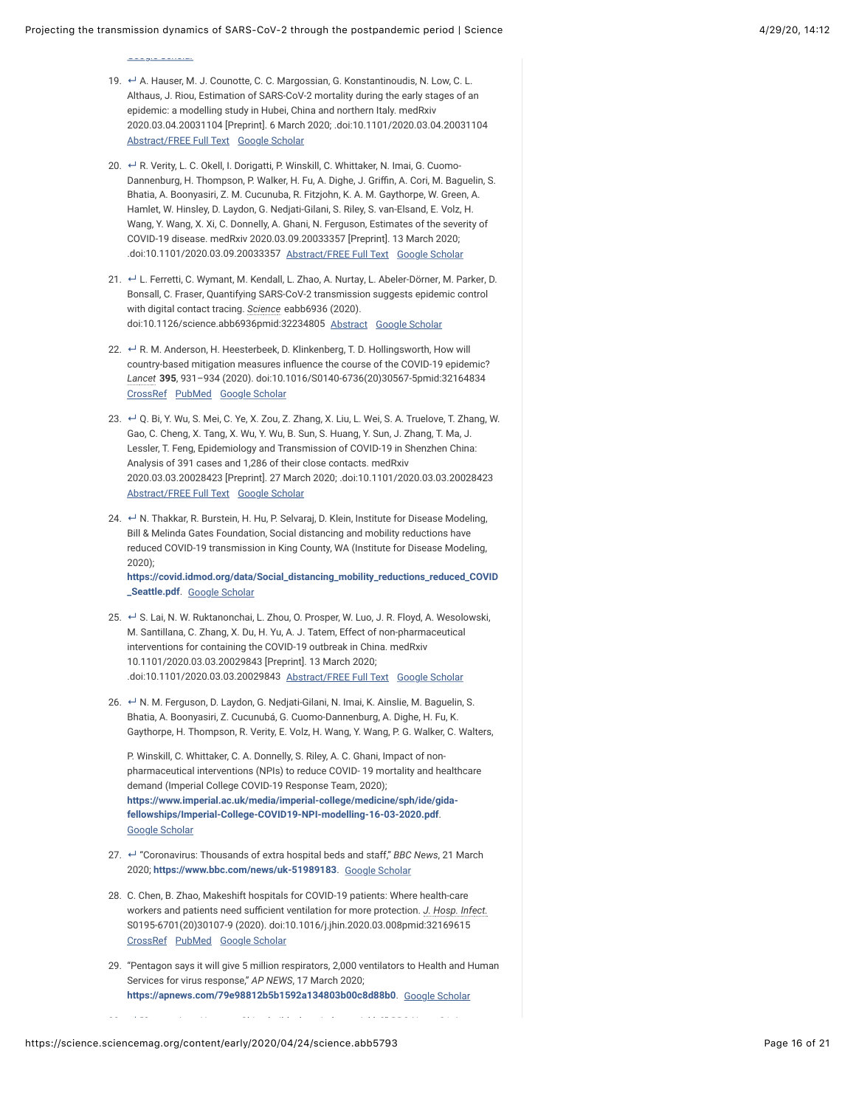<u>[Google Scholar](https://science.sciencemag.org/lookup/google-scholar?link_type=googlescholar&gs_type=article&author%5B0%5D=Z.+Wu&author%5B1%5D=J.%20M.+McGoogan&title=Characteristics+of+and+important+lessons+from+the+coronavirus+disease+2019+(COVID-19)+outbreak+in+China:+Summary+of+a+report+of+72+314+cases+from+the+Chinese+Center+for+Disease+Control+and+Prevention&publication_year=2020&journal=JAMA&volume=323)</u>

- <span id="page-15-0"></span>19. ↔ A. Hauser, M. J. Counotte, C. C. Margossian, G. Konstantinoudis, N. Low, C. L. Althaus, J. Riou, Estimation of SARS-CoV-2 mortality during the early stages of an epidemic: a modelling study in Hubei, China and northern Italy. medRxiv 2020.03.04.20031104 [Preprint]. 6 March 2020; .doi:10.1101/2020.03.04.20031104 [Abstract/FREE Full Text](https://science.sciencemag.org/lookup/ijlink/YTozOntzOjQ6InBhdGgiO3M6MTQ6Ii9sb29rdXAvaWpsaW5rIjtzOjU6InF1ZXJ5IjthOjQ6e3M6ODoibGlua1R5cGUiO3M6NDoiQUJTVCI7czoxMToiam91cm5hbENvZGUiO3M6NzoibWVkcnhpdiI7czo1OiJyZXNpZCI7czoyMToiMjAyMC4wMy4wNC4yMDAzMTEwNHYyIjtzOjQ6ImF0b20iO3M6NDI6Ii9zY2kvZWFybHkvMjAyMC8wNC8yNC9zY2llbmNlLmFiYjU3OTMuYXRvbSI7fXM6ODoiZnJhZ21lbnQiO3M6MDoiIjt9) [Google Scholar](https://science.sciencemag.org/lookup/google-scholar?link_type=googlescholar&gs_type=article&q_txt=A.+Hauser%2C+M.+J.+Counotte%2C+C.+C.+Margossian%2C+G.+Konstantinoudis%2C+N.+Low%2C+C.+L.+Althaus%2C+J.+Riou%2C+Estimation+of+SARS-CoV-2+mortality+during+the+early+stages+of+an+epidemic%3A+a+modelling+study+in+Hubei%2C+China+and+northern+Italy.+medRxiv+2020.03.04.20031104+%5BPreprint%5D.+6+March+2020%3B+.doi%3A10.1101%2F2020.03.04.20031104)
- <span id="page-15-1"></span>20. ← R. Verity, L. C. Okell, I. Dorigatti, P. Winskill, C. Whittaker, N. Imai, G. Cuomo-Dannenburg, H. Thompson, P. Walker, H. Fu, A. Dighe, J. Griffin, A. Cori, M. Baguelin, S. Bhatia, A. Boonyasiri, Z. M. Cucunuba, R. Fitzjohn, K. A. M. Gaythorpe, W. Green, A. Hamlet, W. Hinsley, D. Laydon, G. Nedjati-Gilani, S. Riley, S. van-Elsand, E. Volz, H. Wang, Y. Wang, X. Xi, C. Donnelly, A. Ghani, N. Ferguson, Estimates of the severity of COVID-19 disease. medRxiv 2020.03.09.20033357 [Preprint]. 13 March 2020; .doi:10.1101/2020.03.09.20033357 [Abstract/FREE Full Text](https://science.sciencemag.org/lookup/ijlink/YTozOntzOjQ6InBhdGgiO3M6MTQ6Ii9sb29rdXAvaWpsaW5rIjtzOjU6InF1ZXJ5IjthOjQ6e3M6ODoibGlua1R5cGUiO3M6NDoiQUJTVCI7czoxMToiam91cm5hbENvZGUiO3M6NzoibWVkcnhpdiI7czo1OiJyZXNpZCI7czoyMToiMjAyMC4wMy4wOS4yMDAzMzM1N3YxIjtzOjQ6ImF0b20iO3M6NDI6Ii9zY2kvZWFybHkvMjAyMC8wNC8yNC9zY2llbmNlLmFiYjU3OTMuYXRvbSI7fXM6ODoiZnJhZ21lbnQiO3M6MDoiIjt9) [Google Scholar](https://science.sciencemag.org/lookup/google-scholar?link_type=googlescholar&gs_type=article&q_txt=R.+Verity%2C+L.+C.+Okell%2C+I.+Dorigatti%2C+P.+Winskill%2C+C.+Whittaker%2C+N.+Imai%2C+G.+Cuomo-Dannenburg%2C+H.+Thompson%2C+P.+Walker%2C+H.+Fu%2C+A.+Dighe%2C+J.+Griffin%2C+A.+Cori%2C+M.+Baguelin%2C+S.+Bhatia%2C+A.+Boonyasiri%2C+Z.+M.+Cucunuba%2C+R.+Fitzjohn%2C+K.+A.+M.+Gaythorpe%2C+W.+Green%2C+A.+Hamlet%2C+W.+Hinsley%2C+D.+Laydon%2C+G.+Nedjati-Gilani%2C+S.+Riley%2C+S.+van-Elsand%2C+E.+Volz%2C+H.+Wang%2C+Y.+Wang%2C+X.+Xi%2C+C.+Donnelly%2C+A.+Ghani%2C+N.+Ferguson%2C+Estimates+of+the+severity+of+COVID-19+disease.+medRxiv+2020.03.09.20033357+%5BPreprint%5D.+13+March+2020%3B+.doi%3A10.1101%2F2020.03.09.20033357)
- <span id="page-15-2"></span>21. ← L. Ferretti, C. Wymant, M. Kendall, L. Zhao, A. Nurtay, L. Abeler-Dörner, M. Parker, D. Bonsall, C. Fraser, Quantifying SARS-CoV-2 transmission suggests epidemic control with digital contact tracing. *Science* eabb6936 (2020). doi:10.1126/science.abb6936pmid:32234805 [Abstract](https://science.sciencemag.org/lookup/ijlink/YTozOntzOjQ6InBhdGgiO3M6MTQ6Ii9sb29rdXAvaWpsaW5rIjtzOjU6InF1ZXJ5IjthOjQ6e3M6ODoibGlua1R5cGUiO3M6NDoiQUJTVCI7czoxMToiam91cm5hbENvZGUiO3M6Mzoic2NpIjtzOjU6InJlc2lkIjtzOjE3OiJzY2llbmNlLmFiYjY5MzZ2MiI7czo0OiJhdG9tIjtzOjQyOiIvc2NpL2Vhcmx5LzIwMjAvMDQvMjQvc2NpZW5jZS5hYmI1NzkzLmF0b20iO31zOjg6ImZyYWdtZW50IjtzOjA6IiI7fQ==) [Google Scholar](https://science.sciencemag.org/lookup/google-scholar?link_type=googlescholar&gs_type=article&author%5B0%5D=L.+Ferretti&author%5B1%5D=C.+Wymant&author%5B2%5D=M.+Kendall&author%5B3%5D=L.+Zhao&author%5B4%5D=A.+Nurtay&author%5B5%5D=L.+Abeler-D%C3%B6rner&author%5B6%5D=M.+Parker&author%5B7%5D=D.+Bonsall&author%5B8%5D=C.+Fraser&title=Quantifying+SARS-CoV-2+transmission+suggests+epidemic+control+with+digital+contact+tracing&publication_year=2020&journal=Science)
- <span id="page-15-3"></span>22. ↔ R. M. Anderson, H. Heesterbeek, D. Klinkenberg, T. D. Hollingsworth, How will country-based mitigation measures influence the course of the COVID-19 epidemic? *Lancet* **395**, 931–934 (2020). doi:10.1016/S0140-6736(20)30567-5pmid:32164834 [CrossRef](https://science.sciencemag.org/lookup/external-ref?access_num=10.1016/S0140-6736(20)30567-5&link_type=DOI) [PubMed](https://science.sciencemag.org/lookup/external-ref?access_num=32164834&link_type=MED&atom=%2Fsci%2Fearly%2F2020%2F04%2F24%2Fscience.abb5793.atom) [Google Scholar](https://science.sciencemag.org/lookup/google-scholar?link_type=googlescholar&gs_type=article&author%5B0%5D=R.%20M.+Anderson&author%5B1%5D=H.+Heesterbeek&author%5B2%5D=D.+Klinkenberg&author%5B3%5D=T.%20D.+Hollingsworth&title=How+will+country-based+mitigation+measures+influence+the+course+of+the+COVID-19+epidemic?&publication_year=2020&journal=Lancet&volume=395&pages=931-934)
- <span id="page-15-4"></span>23. ↔ Q. Bi, Y. Wu, S. Mei, C. Ye, X. Zou, Z. Zhang, X. Liu, L. Wei, S. A. Truelove, T. Zhang, W. Gao, C. Cheng, X. Tang, X. Wu, Y. Wu, B. Sun, S. Huang, Y. Sun, J. Zhang, T. Ma, J. Lessler, T. Feng, Epidemiology and Transmission of COVID-19 in Shenzhen China: Analysis of 391 cases and 1,286 of their close contacts. medRxiv 2020.03.03.20028423 [Preprint]. 27 March 2020; .doi:10.1101/2020.03.03.20028423 [Abstract/FREE Full Text](https://science.sciencemag.org/lookup/ijlink/YTozOntzOjQ6InBhdGgiO3M6MTQ6Ii9sb29rdXAvaWpsaW5rIjtzOjU6InF1ZXJ5IjthOjQ6e3M6ODoibGlua1R5cGUiO3M6NDoiQUJTVCI7czoxMToiam91cm5hbENvZGUiO3M6NzoibWVkcnhpdiI7czo1OiJyZXNpZCI7czoyMToiMjAyMC4wMy4wMy4yMDAyODQyM3YzIjtzOjQ6ImF0b20iO3M6NDI6Ii9zY2kvZWFybHkvMjAyMC8wNC8yNC9zY2llbmNlLmFiYjU3OTMuYXRvbSI7fXM6ODoiZnJhZ21lbnQiO3M6MDoiIjt9) [Google Scholar](https://science.sciencemag.org/lookup/google-scholar?link_type=googlescholar&gs_type=article&q_txt=Q.+Bi%2C+Y.+Wu%2C+S.+Mei%2C+C.+Ye%2C+X.+Zou%2C+Z.+Zhang%2C+X.+Liu%2C+L.+Wei%2C+S.+A.+Truelove%2C+T.+Zhang%2C+W.+Gao%2C+C.+Cheng%2C+X.+Tang%2C+X.+Wu%2C+Y.+Wu%2C+B.+Sun%2C+S.+Huang%2C+Y.+Sun%2C+J.+Zhang%2C+T.+Ma%2C+J.+Lessler%2C+T.+Feng%2C+Epidemiology+and+Transmission+of+COVID-19+in+Shenzhen+China%3A+Analysis+of+391+cases+and+1%2C286+of+their+close+contacts.+medRxiv+2020.03.03.20028423+%5BPreprint%5D.+27+March+2020%3B+.doi%3A10.1101%2F2020.03.03.20028423)
- <span id="page-15-5"></span>24. ← N. Thakkar, R. Burstein, H. Hu, P. Selvaraj, D. Klein, Institute for Disease Modeling, Bill & Melinda Gates Foundation, Social distancing and mobility reductions have reduced COVID-19 transmission in King County, WA (Institute for Disease Modeling, 2020); **[https://covid.idmod.org/data/Social\\_distancing\\_mobility\\_reductions\\_reduced\\_COVID](https://covid.idmod.org/data/Social_distancing_mobility_reductions_reduced_COVID_Seattle.pdf)**

**\_Seattle.pdf**. [Google Scholar](https://science.sciencemag.org/lookup/google-scholar?link_type=googlescholar&gs_type=article)

- <span id="page-15-6"></span>25. ↔ S. Lai, N. W. Ruktanonchai, L. Zhou, O. Prosper, W. Luo, J. R. Floyd, A. Wesolowski, M. Santillana, C. Zhang, X. Du, H. Yu, A. J. Tatem, Effect of non-pharmaceutical interventions for containing the COVID-19 outbreak in China. medRxiv 10.1101/2020.03.03.20029843 [Preprint]. 13 March 2020; .doi:10.1101/2020.03.03.20029843 [Abstract/FREE Full Text](https://science.sciencemag.org/lookup/ijlink/YTozOntzOjQ6InBhdGgiO3M6MTQ6Ii9sb29rdXAvaWpsaW5rIjtzOjU6InF1ZXJ5IjthOjQ6e3M6ODoibGlua1R5cGUiO3M6NDoiQUJTVCI7czoxMToiam91cm5hbENvZGUiO3M6NzoibWVkcnhpdiI7czo1OiJyZXNpZCI7czoyMToiMjAyMC4wMy4wMy4yMDAyOTg0M3YzIjtzOjQ6ImF0b20iO3M6NDI6Ii9zY2kvZWFybHkvMjAyMC8wNC8yNC9zY2llbmNlLmFiYjU3OTMuYXRvbSI7fXM6ODoiZnJhZ21lbnQiO3M6MDoiIjt9) [Google Scholar](https://science.sciencemag.org/lookup/google-scholar?link_type=googlescholar&gs_type=article&q_txt=S.+Lai%2C+N.+W.+Ruktanonchai%2C+L.+Zhou%2C+O.+Prosper%2C+W.+Luo%2C+J.+R.+Floyd%2C+A.+Wesolowski%2C+M.+Santillana%2C+C.+Zhang%2C+X.+Du%2C+H.+Yu%2C+A.+J.+Tatem%2C+Effect+of+non-pharmaceutical+interventions+for+containing+the+COVID-19+outbreak+in+China.+medRxiv+10.1101%2F2020.03.03.20029843+%5BPreprint%5D.+13+March+2020%3B+.doi%3A10.1101%2F2020.03.03.20029843)
- <span id="page-15-7"></span>26. ← N. M. Ferguson, D. Laydon, G. Nedjati-Gilani, N. Imai, K. Ainslie, M. Baguelin, S. Bhatia, A. Boonyasiri, Z. Cucunubá, G. Cuomo-Dannenburg, A. Dighe, H. Fu, K. Gaythorpe, H. Thompson, R. Verity, E. Volz, H. Wang, Y. Wang, P. G. Walker, C. Walters,

P. Winskill, C. Whittaker, C. A. Donnelly, S. Riley, A. C. Ghani, Impact of nonpharmaceutical interventions (NPIs) to reduce COVID- 19 mortality and healthcare demand (Imperial College COVID-19 Response Team, 2020); **[https://www.imperial.ac.uk/media/imperial-college/medicine/sph/ide/gida](https://www.imperial.ac.uk/media/imperial-college/medicine/sph/ide/gida-fellowships/Imperial-College-COVID19-NPI-modelling-16-03-2020.pdf)fellowships/Imperial-College-COVID19-NPI-modelling-16-03-2020.pdf**. [Google Scholar](https://science.sciencemag.org/lookup/google-scholar?link_type=googlescholar&gs_type=article)

- <span id="page-15-8"></span>27. ↓ "Coronavirus: Thousands of extra hospital beds and staff," *BBC News*, 21 March 2020; **<https://www.bbc.com/news/uk-51989183>**. [Google Scholar](https://science.sciencemag.org/lookup/google-scholar?link_type=googlescholar&gs_type=article)
- 28. C. Chen, B. Zhao, Makeshift hospitals for COVID-19 patients: Where health-care workers and patients need sufficient ventilation for more protection. *J. Hosp. Infect.* S0195-6701(20)30107-9 (2020). doi:10.1016/j.jhin.2020.03.008pmid:32169615 [CrossRef](https://science.sciencemag.org/lookup/external-ref?access_num=10.1016/j.jhin.2020.03.008&link_type=DOI) [PubMed](https://science.sciencemag.org/lookup/external-ref?access_num=32169615&link_type=MED&atom=%2Fsci%2Fearly%2F2020%2F04%2F24%2Fscience.abb5793.atom) [Google Scholar](https://science.sciencemag.org/lookup/google-scholar?link_type=googlescholar&gs_type=article&author%5B0%5D=C.+Chen&author%5B1%5D=B.+Zhao&title=Makeshift+hospitals+for+COVID-19+patients:+Where+health-care+workers+and+patients+need+sufficient+ventilation+for+more+protection&publication_year=2020&journal=J.+Hosp.+Infect.)
- 29. "Pentagon says it will give 5 million respirators, 2,000 ventilators to Health and Human Services for virus response," *AP NEWS*, 17 March 2020; **<https://apnews.com/79e98812b5b1592a134803b00c8d88b0>**. [Google Scholar](https://science.sciencemag.org/lookup/google-scholar?link_type=googlescholar&gs_type=article)

<span id="page-15-9"></span>30. **[↵](#page-2-6)** "Coronavirus: How can China build a hospital so quickly?" *BBC News*, 31 January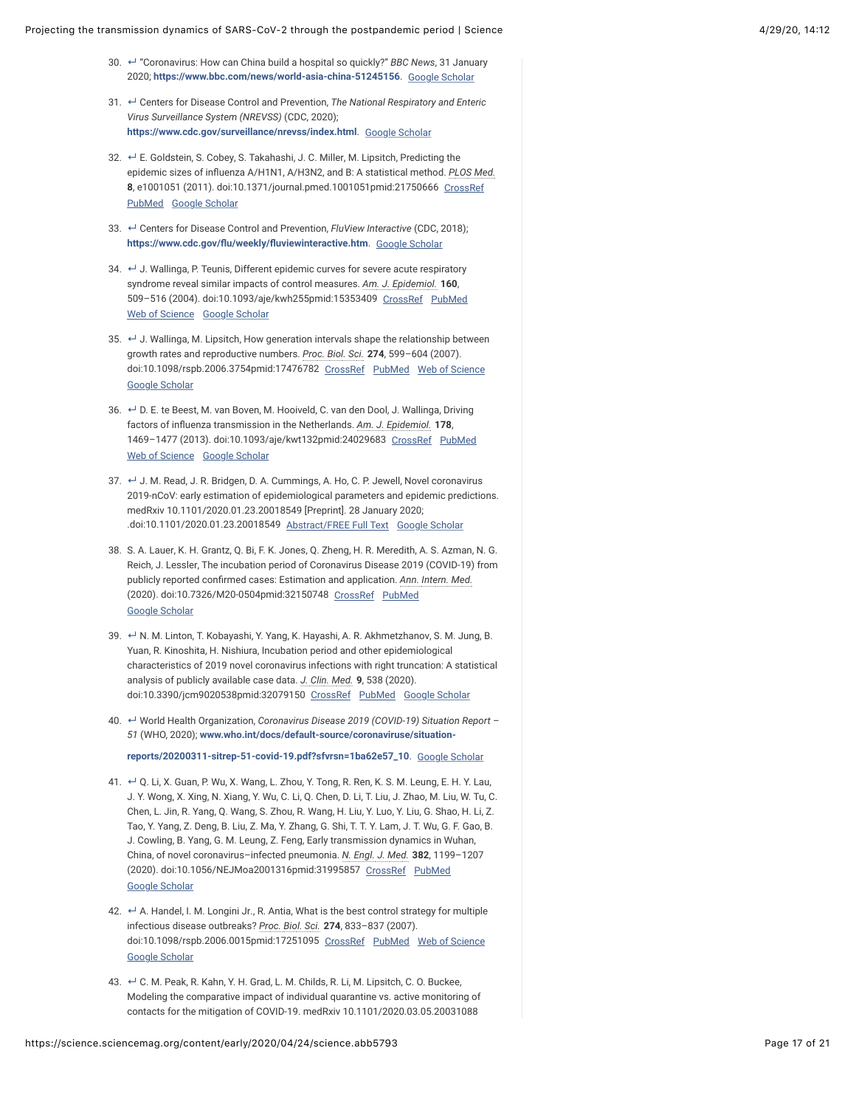- 30. ↔ "Coronavirus: How can China build a hospital so quickly?" *BBC News,* 31 January 2020; **<https://www.bbc.com/news/world-asia-china-51245156>**. [Google Scholar](https://science.sciencemag.org/lookup/google-scholar?link_type=googlescholar&gs_type=article)
- <span id="page-16-0"></span>31. └ Centers for Disease Control and Prevention, *The National Respiratory and Enteric Virus Surveillance System (NREVSS)* (CDC, 2020); **<https://www.cdc.gov/surveillance/nrevss/index.html>**. [Google Scholar](https://science.sciencemag.org/lookup/google-scholar?link_type=googlescholar&gs_type=article)
- <span id="page-16-1"></span>32. ← E. Goldstein, S. Cobey, S. Takahashi, J. C. Miller, M. Lipsitch, Predicting the epidemic sizes of influenza A/H1N1, A/H3N2, and B: A statistical method. *PLOS Med.* **8**, e1001051 (2011). doi:10.1371/journal.pmed.1001051pmid:21750666 [CrossRef](https://science.sciencemag.org/lookup/external-ref?access_num=10.1371/journal.pmed.1001051&link_type=DOI) [PubMed](https://science.sciencemag.org/lookup/external-ref?access_num=21750666&link_type=MED&atom=%2Fsci%2Fearly%2F2020%2F04%2F24%2Fscience.abb5793.atom) [Google Scholar](https://science.sciencemag.org/lookup/google-scholar?link_type=googlescholar&gs_type=article&author%5B0%5D=E.+Goldstein&author%5B1%5D=S.+Cobey&author%5B2%5D=S.+Takahashi&author%5B3%5D=J.%20C.+Miller&author%5B4%5D=M.+Lipsitch&title=Predicting+the+epidemic+sizes+of+influenza+A/H1N1,+A/H3N2,+and+B:+A+statistical+method&publication_year=2011&journal=PLOS+Med.&volume=8)
- <span id="page-16-2"></span>33. **└ Centers for Disease Control and Prevention,** *FluView Interactive* **(CDC, 2018); [https://www.cdc.gov/du/weekly/duviewinteractive.htm](https://www.cdc.gov/flu/weekly/fluviewinteractive.htm)**. [Google Scholar](https://science.sciencemag.org/lookup/google-scholar?link_type=googlescholar&gs_type=article)
- <span id="page-16-3"></span>34. **↓** J. Wallinga, P. Teunis, Different epidemic curves for severe acute respiratory syndrome reveal similar impacts of control measures. *Am. J. Epidemiol.* **160**, 509–516 (2004). doi:10.1093/aje/kwh255pmid:15353409 [CrossRef](https://science.sciencemag.org/lookup/external-ref?access_num=10.1093/aje/kwh255&link_type=DOI) [PubMed](https://science.sciencemag.org/lookup/external-ref?access_num=15353409&link_type=MED&atom=%2Fsci%2Fearly%2F2020%2F04%2F24%2Fscience.abb5793.atom) [Web of Science](https://science.sciencemag.org/lookup/external-ref?access_num=000223938000001&link_type=ISI) [Google Scholar](https://science.sciencemag.org/lookup/google-scholar?link_type=googlescholar&gs_type=article&author%5B0%5D=J.+Wallinga&author%5B1%5D=P.+Teunis&title=Different+epidemic+curves+for+severe+acute+respiratory+syndrome+reveal+similar+impacts+of+control+measures&publication_year=2004&journal=Am.+J.+Epidemiol.&volume=160&pages=509-516)
- <span id="page-16-4"></span>35.  $\leftarrow$  J. Wallinga, M. Lipsitch, How generation intervals shape the relationship between growth rates and reproductive numbers. *Proc. Biol. Sci.* **274**, 599–604 (2007). doi:10.1098/rspb.2006.3754pmid:17476782 [CrossRef](https://science.sciencemag.org/lookup/external-ref?access_num=10.1098/rspb.2006.3754&link_type=DOI) [PubMed](https://science.sciencemag.org/lookup/external-ref?access_num=17476782&link_type=MED&atom=%2Fsci%2Fearly%2F2020%2F04%2F24%2Fscience.abb5793.atom) [Web of Science](https://science.sciencemag.org/lookup/external-ref?access_num=000243354200019&link_type=ISI) [Google Scholar](https://science.sciencemag.org/lookup/google-scholar?link_type=googlescholar&gs_type=article&author%5B0%5D=J.+Wallinga&author%5B1%5D=M.+Lipsitch&title=How+generation+intervals+shape+the+relationship+between+growth+rates+and+reproductive+numbers&publication_year=2007&journal=Proc.+Biol.+Sci.&volume=274&pages=599-604)
- <span id="page-16-5"></span>36. ↔ D. E. te Beest, M. van Boven, M. Hooiveld, C. van den Dool, J. Wallinga, Driving factors of inbuenza transmission in the Netherlands. *Am. J. Epidemiol.* **178**, 1469-1477 (2013). doi:10.1093/aje/kwt132pmid:24029683 [CrossRef](https://science.sciencemag.org/lookup/external-ref?access_num=10.1093/aje/kwt132&link_type=DOI) [PubMed](https://science.sciencemag.org/lookup/external-ref?access_num=24029683&link_type=MED&atom=%2Fsci%2Fearly%2F2020%2F04%2F24%2Fscience.abb5793.atom) [Web of Science](https://science.sciencemag.org/lookup/external-ref?access_num=000326642300015&link_type=ISI) [Google Scholar](https://science.sciencemag.org/lookup/google-scholar?link_type=googlescholar&gs_type=article&author%5B0%5D=D.%20E.+te%20Beest&author%5B1%5D=M.+van%20Boven&author%5B2%5D=M.+Hooiveld&author%5B3%5D=C.+van%20den%20Dool&author%5B4%5D=J.+Wallinga&title=Driving+factors+of+influenza+transmission+in+the+Netherlands&publication_year=2013&journal=Am.+J.+Epidemiol.&volume=178&pages=1469-1477)
- <span id="page-16-6"></span>37. ↓ J. M. Read, J. R. Bridgen, D. A. Cummings, A. Ho, C. P. Jewell, Novel coronavirus 2019-nCoV: early estimation of epidemiological parameters and epidemic predictions. medRxiv 10.1101/2020.01.23.20018549 [Preprint]. 28 January 2020; .doi:10.1101/2020.01.23.20018549 [Abstract/FREE Full Text](https://science.sciencemag.org/lookup/ijlink/YTozOntzOjQ6InBhdGgiO3M6MTQ6Ii9sb29rdXAvaWpsaW5rIjtzOjU6InF1ZXJ5IjthOjQ6e3M6ODoibGlua1R5cGUiO3M6NDoiQUJTVCI7czoxMToiam91cm5hbENvZGUiO3M6NzoibWVkcnhpdiI7czo1OiJyZXNpZCI7czoyMToiMjAyMC4wMS4yMy4yMDAxODU0OXYyIjtzOjQ6ImF0b20iO3M6NDI6Ii9zY2kvZWFybHkvMjAyMC8wNC8yNC9zY2llbmNlLmFiYjU3OTMuYXRvbSI7fXM6ODoiZnJhZ21lbnQiO3M6MDoiIjt9) [Google Scholar](https://science.sciencemag.org/lookup/google-scholar?link_type=googlescholar&gs_type=article&q_txt=J.+M.+Read%2C+J.+R.+Bridgen%2C+D.+A.+Cummings%2C+A.+Ho%2C+C.+P.+Jewell%2C+Novel+coronavirus+2019-nCoV%3A+early+estimation+of+epidemiological+parameters+and+epidemic+predictions.+medRxiv+10.1101%2F2020.01.23.20018549+%5BPreprint%5D.+28+January+2020%3B+.doi%3A10.1101%2F2020.01.23.20018549)
- 38. S. A. Lauer, K. H. Grantz, Q. Bi, F. K. Jones, Q. Zheng, H. R. Meredith, A. S. Azman, N. G. Reich, J. Lessler, The incubation period of Coronavirus Disease 2019 (COVID-19) from publicly reported confirmed cases: Estimation and application. Ann. Intern. Med. (2020). doi:10.7326/M20-0504pmid:32150748 [CrossRef](https://science.sciencemag.org/lookup/external-ref?access_num=10.7326/M20-0504&link_type=DOI) [PubMed](https://science.sciencemag.org/lookup/external-ref?access_num=32150748&link_type=MED&atom=%2Fsci%2Fearly%2F2020%2F04%2F24%2Fscience.abb5793.atom) [Google Scholar](https://science.sciencemag.org/lookup/google-scholar?link_type=googlescholar&gs_type=article&author%5B0%5D=S.%20A.+Lauer&author%5B1%5D=K.%20H.+Grantz&author%5B2%5D=Q.+Bi&author%5B3%5D=F.%20K.+Jones&author%5B4%5D=Q.+Zheng&author%5B5%5D=H.%20R.+Meredith&author%5B6%5D=A.%20S.+Azman&author%5B7%5D=N.%20G.+Reich&author%5B8%5D=J.+Lessler&title=The+incubation+period+of+Coronavirus+Disease+2019+(COVID-19)+from+publicly+reported+confirmed+cases:+Estimation+and+application&publication_year=2020&journal=Ann.+Intern.+Med.)
- <span id="page-16-7"></span>39. ← N. M. Linton, T. Kobayashi, Y. Yang, K. Hayashi, A. R. Akhmetzhanov, S. M. Jung, B. Yuan, R. Kinoshita, H. Nishiura, Incubation period and other epidemiological characteristics of 2019 novel coronavirus infections with right truncation: A statistical analysis of publicly available case data. *J. Clin. Med.* **9**, 538 (2020). doi:10.3390/jcm9020538pmid:32079150 [CrossRef](https://science.sciencemag.org/lookup/external-ref?access_num=10.3390/jcm9020538&link_type=DOI) [PubMed](https://science.sciencemag.org/lookup/external-ref?access_num=32079150&link_type=MED&atom=%2Fsci%2Fearly%2F2020%2F04%2F24%2Fscience.abb5793.atom) [Google Scholar](https://science.sciencemag.org/lookup/google-scholar?link_type=googlescholar&gs_type=article&author%5B0%5D=N.%20M.+Linton&author%5B1%5D=T.+Kobayashi&author%5B2%5D=Y.+Yang&author%5B3%5D=K.+Hayashi&author%5B4%5D=A.%20R.+Akhmetzhanov&author%5B5%5D=S.%20M.+Jung&author%5B6%5D=B.+Yuan&author%5B7%5D=R.+Kinoshita&author%5B8%5D=H.+Nishiura&title=Incubation+period+and+other+epidemiological+characteristics+of+2019+novel+coronavirus+infections+with+right+truncation:+A+statistical+analysis+of+publicly+available+case+data&publication_year=2020&journal=J.+Clin.+Med.&volume=9)
- <span id="page-16-8"></span>40. World Health Organization, *Coronavirus Disease 2019 (COVID-19) Situation Report –* **↵** *51* (WHO, 2020); **www.who.int/docs/default-source/coronaviruse/situation-**

**[reports/20200311-sitrep-51-covid-19.pdf?sfvrsn=1ba62e57\\_10](http://www.who.int/docs/default-source/coronaviruse/situation-reports/20200311-sitrep-51-covid-19.pdf?sfvrsn=1ba62e57_10)**. [Google Scholar](https://science.sciencemag.org/lookup/google-scholar?link_type=googlescholar&gs_type=article)

- <span id="page-16-9"></span>41. ← Q. Li, X. Guan, P. Wu, X. Wang, L. Zhou, Y. Tong, R. Ren, K. S. M. Leung, E. H. Y. Lau, J. Y. Wong, X. Xing, N. Xiang, Y. Wu, C. Li, Q. Chen, D. Li, T. Liu, J. Zhao, M. Liu, W. Tu, C. Chen, L. Jin, R. Yang, Q. Wang, S. Zhou, R. Wang, H. Liu, Y. Luo, Y. Liu, G. Shao, H. Li, Z. Tao, Y. Yang, Z. Deng, B. Liu, Z. Ma, Y. Zhang, G. Shi, T. T. Y. Lam, J. T. Wu, G. F. Gao, B. J. Cowling, B. Yang, G. M. Leung, Z. Feng, Early transmission dynamics in Wuhan, China, of novel coronavirus–infected pneumonia. *N. Engl. J. Med.* **382**, 1199–1207 (2020). doi:10.1056/NEJMoa2001316pmid:31995857 [CrossRef](https://science.sciencemag.org/lookup/external-ref?access_num=10.1056/NEJMoa2001316&link_type=DOI) [PubMed](https://science.sciencemag.org/lookup/external-ref?access_num=31995857&link_type=MED&atom=%2Fsci%2Fearly%2F2020%2F04%2F24%2Fscience.abb5793.atom) [Google Scholar](https://science.sciencemag.org/lookup/google-scholar?link_type=googlescholar&gs_type=article&author%5B0%5D=Q.+Li&author%5B1%5D=X.+Guan&author%5B2%5D=P.+Wu&author%5B3%5D=X.+Wang&author%5B4%5D=L.+Zhou&author%5B5%5D=Y.+Tong&author%5B6%5D=R.+Ren&author%5B7%5D=K.%20S.%20M.+Leung&author%5B8%5D=E.%20H.%20Y.+Lau&author%5B9%5D=J.%20Y.+Wong&author%5B10%5D=X.+Xing&author%5B11%5D=N.+Xiang&author%5B12%5D=Y.+Wu&author%5B13%5D=C.+Li&author%5B14%5D=Q.+Chen&author%5B15%5D=D.+Li&author%5B16%5D=T.+Liu&author%5B17%5D=J.+Zhao&author%5B18%5D=M.+Liu&author%5B19%5D=W.+Tu&author%5B20%5D=C.+Chen&author%5B21%5D=L.+Jin&author%5B22%5D=R.+Yang&author%5B23%5D=Q.+Wang&author%5B24%5D=S.+Zhou&author%5B25%5D=R.+Wang&author%5B26%5D=H.+Liu&author%5B27%5D=Y.+Luo&author%5B28%5D=Y.+Liu&author%5B29%5D=G.+Shao&author%5B30%5D=H.+Li&author%5B31%5D=Z.+Tao&author%5B32%5D=Y.+Yang&author%5B33%5D=Z.+Deng&author%5B34%5D=B.+Liu&author%5B35%5D=Z.+Ma&author%5B36%5D=Y.+Zhang&author%5B37%5D=G.+Shi&author%5B38%5D=T.%20T.%20Y.+Lam&author%5B39%5D=J.%20T.+Wu&author%5B40%5D=G.%20F.+Gao&author%5B41%5D=B.%20J.+Cowling&author%5B42%5D=B.+Yang&author%5B43%5D=G.%20M.+Leung&author%5B44%5D=Z.+Feng&title=Early+transmission+dynamics+in+Wuhan,+China,+of+novel+coronavirus%E2%80%93infected+pneumonia&publication_year=2020&journal=N.+Engl.+J.+Med.&volume=382&pages=1199-1207)
- <span id="page-16-10"></span>42. ← A. Handel, I. M. Longini Jr., R. Antia, What is the best control strategy for multiple infectious disease outbreaks? *Proc. Biol. Sci.* **274**, 833–837 (2007). doi:10.1098/rspb.2006.0015pmid:17251095 [CrossRef](https://science.sciencemag.org/lookup/external-ref?access_num=10.1098/rspb.2006.0015&link_type=DOI) [PubMed](https://science.sciencemag.org/lookup/external-ref?access_num=17251095&link_type=MED&atom=%2Fsci%2Fearly%2F2020%2F04%2F24%2Fscience.abb5793.atom) [Web of Science](https://science.sciencemag.org/lookup/external-ref?access_num=000243842100010&link_type=ISI) [Google Scholar](https://science.sciencemag.org/lookup/google-scholar?link_type=googlescholar&gs_type=article&author%5B0%5D=A.+Handel&author%5B1%5D=I.%20M.+Longini&author%5B2%5D=R.+Antia&title=What+is+the+best+control+strategy+for+multiple+infectious+disease+outbreaks?&publication_year=2007&journal=Proc.+Biol.+Sci.&volume=274&pages=833-837)
- <span id="page-16-11"></span>43. ← C. M. Peak, R. Kahn, Y. H. Grad, L. M. Childs, R. Li, M. Lipsitch, C. O. Buckee, Modeling the comparative impact of individual quarantine vs. active monitoring of contacts for the mitigation of COVID-19. medRxiv 10.1101/2020.03.05.20031088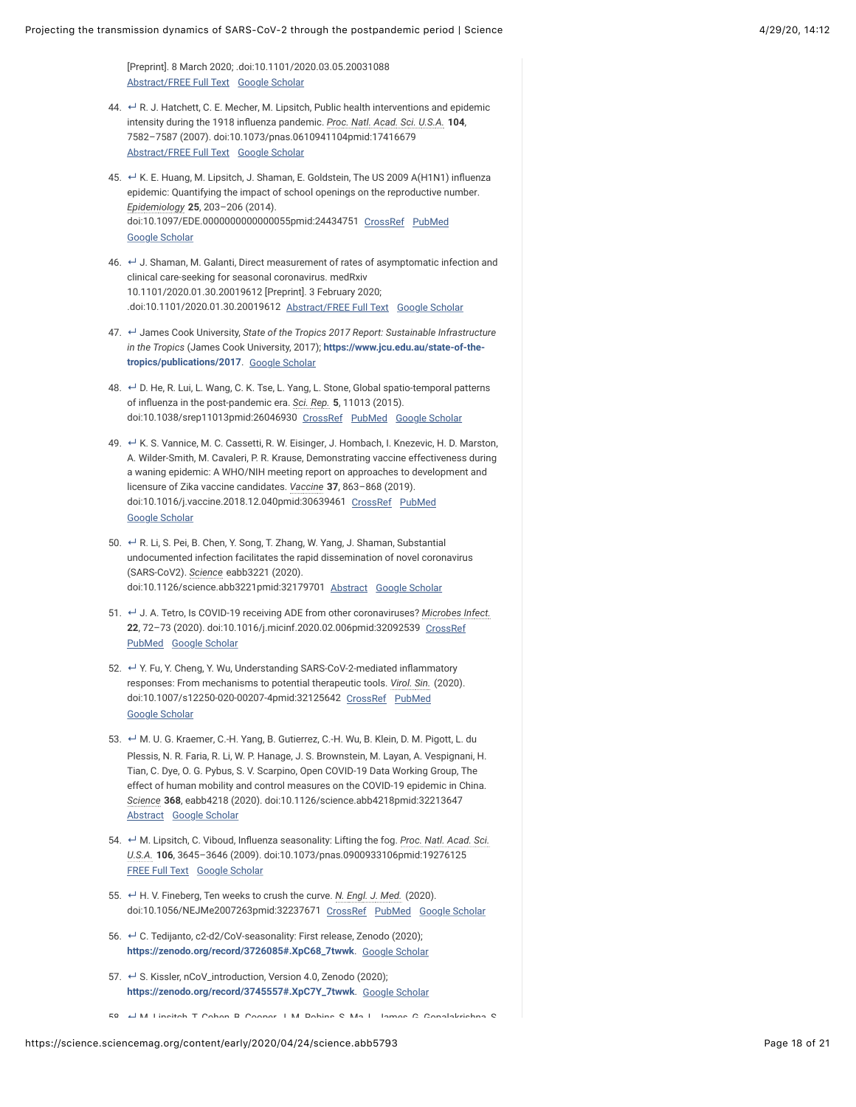- <span id="page-17-0"></span>44. ← R. J. Hatchett, C. E. Mecher, M. Lipsitch, Public health interventions and epidemic intensity during the 1918 influenza pandemic. *Proc. Natl. Acad. Sci. U.S.A.* 104, 7582–7587 (2007). doi:10.1073/pnas.0610941104pmid:17416679 [Abstract/FREE Full Text](https://science.sciencemag.org/lookup/ijlink/YTozOntzOjQ6InBhdGgiO3M6MTQ6Ii9sb29rdXAvaWpsaW5rIjtzOjU6InF1ZXJ5IjthOjQ6e3M6ODoibGlua1R5cGUiO3M6NDoiQUJTVCI7czoxMToiam91cm5hbENvZGUiO3M6NDoicG5hcyI7czo1OiJyZXNpZCI7czoxMToiMTA0LzE4Lzc1ODIiO3M6NDoiYXRvbSI7czo0MjoiL3NjaS9lYXJseS8yMDIwLzA0LzI0L3NjaWVuY2UuYWJiNTc5My5hdG9tIjt9czo4OiJmcmFnbWVudCI7czowOiIiO30=) [Google Scholar](https://science.sciencemag.org/lookup/google-scholar?link_type=googlescholar&gs_type=article&author%5B0%5D=R.%20J.+Hatchett&author%5B1%5D=C.%20E.+Mecher&author%5B2%5D=M.+Lipsitch&title=Public+health+interventions+and+epidemic+intensity+during+the+1918+influenza+pandemic&publication_year=2007&journal=Proc.+Natl.+Acad.+Sci.+U.S.A.&volume=104&pages=7582-7587)
- <span id="page-17-1"></span>45. ↔ K. E. Huang, M. Lipsitch, J. Shaman, E. Goldstein, The US 2009 A(H1N1) influenza epidemic: Quantifying the impact of school openings on the reproductive number. *Epidemiology* **25**, 203–206 (2014). doi:10.1097/EDE.0000000000000055pmid:24434751 [CrossRef](https://science.sciencemag.org/lookup/external-ref?access_num=10.1097/EDE.0000000000000055&link_type=DOI) [PubMed](https://science.sciencemag.org/lookup/external-ref?access_num=24434751&link_type=MED&atom=%2Fsci%2Fearly%2F2020%2F04%2F24%2Fscience.abb5793.atom) [Google Scholar](https://science.sciencemag.org/lookup/google-scholar?link_type=googlescholar&gs_type=article&author%5B0%5D=K.%20E.+Huang&author%5B1%5D=M.+Lipsitch&author%5B2%5D=J.+Shaman&author%5B3%5D=E.+Goldstein&title=The+US+2009+A(H1N1)+influenza+epidemic:+Quantifying+the+impact+of+school+openings+on+the+reproductive+number&publication_year=2014&journal=Epidemiology&volume=25&pages=203-206)
- <span id="page-17-2"></span>46. ← J. Shaman, M. Galanti, Direct measurement of rates of asymptomatic infection and clinical care-seeking for seasonal coronavirus. medRxiv 10.1101/2020.01.30.20019612 [Preprint]. 3 February 2020; .doi:10.1101/2020.01.30.20019612 [Abstract/FREE Full Text](https://science.sciencemag.org/lookup/ijlink/YTozOntzOjQ6InBhdGgiO3M6MTQ6Ii9sb29rdXAvaWpsaW5rIjtzOjU6InF1ZXJ5IjthOjQ6e3M6ODoibGlua1R5cGUiO3M6NDoiQUJTVCI7czoxMToiam91cm5hbENvZGUiO3M6NzoibWVkcnhpdiI7czo1OiJyZXNpZCI7czoyMToiMjAyMC4wMS4zMC4yMDAxOTYxMnYxIjtzOjQ6ImF0b20iO3M6NDI6Ii9zY2kvZWFybHkvMjAyMC8wNC8yNC9zY2llbmNlLmFiYjU3OTMuYXRvbSI7fXM6ODoiZnJhZ21lbnQiO3M6MDoiIjt9) [Google Scholar](https://science.sciencemag.org/lookup/google-scholar?link_type=googlescholar&gs_type=article&q_txt=J.+Shaman%2C+M.+Galanti%2C+Direct+measurement+of+rates+of+asymptomatic+infection+and+clinical+care-seeking+for+seasonal+coronavirus.+medRxiv+10.1101%2F2020.01.30.20019612+%5BPreprint%5D.+3+February+2020%3B+.doi%3A10.1101%2F2020.01.30.20019612)
- <span id="page-17-3"></span>47. ↵ James Cook University, State of the Tropics 2017 Report: Sustainable Infrastructure *in the Tropics* (James Cook University, 2017); **[https://www.jcu.edu.au/state-of-the](https://www.jcu.edu.au/state-of-the-tropics/publications/2017)tropics/publications/2017**. [Google Scholar](https://science.sciencemag.org/lookup/google-scholar?link_type=googlescholar&gs_type=article)
- <span id="page-17-4"></span>48. ← D. He, R. Lui, L. Wang, C. K. Tse, L. Yang, L. Stone, Global spatio-temporal patterns of inbuenza in the post-pandemic era. *Sci. Rep.* **5**, 11013 (2015). doi:10.1038/srep11013pmid:26046930 [CrossRef](https://science.sciencemag.org/lookup/external-ref?access_num=10.1038/srep11013&link_type=DOI) [PubMed](https://science.sciencemag.org/lookup/external-ref?access_num=26046930&link_type=MED&atom=%2Fsci%2Fearly%2F2020%2F04%2F24%2Fscience.abb5793.atom) [Google Scholar](https://science.sciencemag.org/lookup/google-scholar?link_type=googlescholar&gs_type=article&author%5B0%5D=D.+He&author%5B1%5D=R.+Lui&author%5B2%5D=L.+Wang&author%5B3%5D=C.%20K.+Tse&author%5B4%5D=L.+Yang&author%5B5%5D=L.+Stone&title=Global+spatio-temporal+patterns+of+influenza+in+the+post-pandemic+era&publication_year=2015&journal=Sci.+Rep.&volume=5)
- <span id="page-17-5"></span>49. ← K. S. Vannice, M. C. Cassetti, R. W. Eisinger, J. Hombach, I. Knezevic, H. D. Marston, A. Wilder-Smith, M. Cavaleri, P. R. Krause, Demonstrating vaccine effectiveness during a waning epidemic: A WHO/NIH meeting report on approaches to development and licensure of Zika vaccine candidates. *Vaccine* **37**, 863–868 (2019). doi:10.1016/j.vaccine.2018.12.040pmid:30639461 [CrossRef](https://science.sciencemag.org/lookup/external-ref?access_num=10.1016/j.vaccine.2018.12.040&link_type=DOI) [PubMed](https://science.sciencemag.org/lookup/external-ref?access_num=30639461&link_type=MED&atom=%2Fsci%2Fearly%2F2020%2F04%2F24%2Fscience.abb5793.atom) [Google Scholar](https://science.sciencemag.org/lookup/google-scholar?link_type=googlescholar&gs_type=article&author%5B0%5D=K.%20S.+Vannice&author%5B1%5D=M.%20C.+Cassetti&author%5B2%5D=R.%20W.+Eisinger&author%5B3%5D=J.+Hombach&author%5B4%5D=I.+Knezevic&author%5B5%5D=H.%20D.+Marston&author%5B6%5D=A.+Wilder-Smith&author%5B7%5D=M.+Cavaleri&author%5B8%5D=P.%20R.+Krause&title=Demonstrating+vaccine+effectiveness+during+a+waning+epidemic:+A+WHO/NIH+meeting+report+on+approaches+to+development+and+licensure+of+Zika+vaccine+candidates&publication_year=2019&journal=Vaccine&volume=37&pages=863-868)
- <span id="page-17-6"></span>50. ← R. Li, S. Pei, B. Chen, Y. Song, T. Zhang, W. Yang, J. Shaman, Substantial undocumented infection facilitates the rapid dissemination of novel coronavirus (SARS-CoV2). *Science* eabb3221 (2020). doi:10.1126/science.abb3221pmid:32179701 [Abstract](https://science.sciencemag.org/lookup/ijlink/YTozOntzOjQ6InBhdGgiO3M6MTQ6Ii9sb29rdXAvaWpsaW5rIjtzOjU6InF1ZXJ5IjthOjQ6e3M6ODoibGlua1R5cGUiO3M6NDoiQUJTVCI7czoxMToiam91cm5hbENvZGUiO3M6Mzoic2NpIjtzOjU6InJlc2lkIjtzOjE3OiJzY2llbmNlLmFiYjMyMjF2MyI7czo0OiJhdG9tIjtzOjQyOiIvc2NpL2Vhcmx5LzIwMjAvMDQvMjQvc2NpZW5jZS5hYmI1NzkzLmF0b20iO31zOjg6ImZyYWdtZW50IjtzOjA6IiI7fQ==) [Google Scholar](https://science.sciencemag.org/lookup/google-scholar?link_type=googlescholar&gs_type=article&author%5B0%5D=R.+Li&author%5B1%5D=S.+Pei&author%5B2%5D=B.+Chen&author%5B3%5D=Y.+Song&author%5B4%5D=T.+Zhang&author%5B5%5D=W.+Yang&author%5B6%5D=J.+Shaman&title=Substantial+undocumented+infection+facilitates+the+rapid+dissemination+of+novel+coronavirus+(SARS-CoV2)&publication_year=2020&journal=Science)
- <span id="page-17-7"></span>51.  $\leftarrow$  J. A. Tetro, Is COVID-19 receiving ADE from other coronaviruses? *Microbes Infect.* **22**, 72–73 (2020). doi:10.1016/j.micinf.2020.02.006pmid:32092539 [CrossRef](https://science.sciencemag.org/lookup/external-ref?access_num=10.1016/j.micinf.2020.02.006&link_type=DOI) [PubMed](https://science.sciencemag.org/lookup/external-ref?access_num=32092539&link_type=MED&atom=%2Fsci%2Fearly%2F2020%2F04%2F24%2Fscience.abb5793.atom) [Google Scholar](https://science.sciencemag.org/lookup/google-scholar?link_type=googlescholar&gs_type=article&author%5B0%5D=J.%20A.+Tetro&title=Is+COVID-19+receiving+ADE+from+other+coronaviruses?&publication_year=2020&journal=Microbes+Infect.&volume=22&pages=72-73)
- <span id="page-17-8"></span>52. ← Y. Fu, Y. Cheng, Y. Wu, Understanding SARS-CoV-2-mediated inflammatory responses: From mechanisms to potential therapeutic tools. *Virol. Sin.* (2020). doi:10.1007/s12250-020-00207-4pmid:32125642 [CrossRef](https://science.sciencemag.org/lookup/external-ref?access_num=10.1007/s12250-020-00207-4&link_type=DOI) [PubMed](https://science.sciencemag.org/lookup/external-ref?access_num=32125642&link_type=MED&atom=%2Fsci%2Fearly%2F2020%2F04%2F24%2Fscience.abb5793.atom) [Google Scholar](https://science.sciencemag.org/lookup/google-scholar?link_type=googlescholar&gs_type=article&author%5B0%5D=Y.+Fu&author%5B1%5D=Y.+Cheng&author%5B2%5D=Y.+Wu&title=Understanding+SARS-CoV-2-mediated+inflammatory+responses:+From+mechanisms+to+potential+therapeutic+tools&publication_year=2020&journal=Virol.+Sin.)
- <span id="page-17-9"></span>53. ← M. U. G. Kraemer, C.-H. Yang, B. Gutierrez, C.-H. Wu, B. Klein, D. M. Pigott, L. du Plessis, N. R. Faria, R. Li, W. P. Hanage, J. S. Brownstein, M. Layan, A. Vespignani, H. Tian, C. Dye, O. G. Pybus, S. V. Scarpino, Open COVID-19 Data Working Group, The effect of human mobility and control measures on the COVID-19 epidemic in China. *Science* **368**, eabb4218 (2020). doi:10.1126/science.abb4218pmid:32213647 [Abstract](https://science.sciencemag.org/lookup/ijlink/YTozOntzOjQ6InBhdGgiO3M6MTQ6Ii9sb29rdXAvaWpsaW5rIjtzOjU6InF1ZXJ5IjthOjQ6e3M6ODoibGlua1R5cGUiO3M6NDoiQUJTVCI7czoxMToiam91cm5hbENvZGUiO3M6Mzoic2NpIjtzOjU6InJlc2lkIjtzOjE3OiJzY2llbmNlLmFiYjQyMTh2MiI7czo0OiJhdG9tIjtzOjQyOiIvc2NpL2Vhcmx5LzIwMjAvMDQvMjQvc2NpZW5jZS5hYmI1NzkzLmF0b20iO31zOjg6ImZyYWdtZW50IjtzOjA6IiI7fQ==) [Google Scholar](https://science.sciencemag.org/lookup/google-scholar?link_type=googlescholar&gs_type=article&author%5B0%5D=M.%20U.%20G.+Kraemer&author%5B1%5D=C.-H.+Yang&author%5B2%5D=B.+Gutierrez&author%5B3%5D=C.-H.+Wu&author%5B4%5D=B.+Klein&author%5B5%5D=D.%20M.+Pigott&author%5B6%5D=L.+du%20Plessis&author%5B7%5D=N.%20R.+Faria&author%5B8%5D=R.+Li&author%5B9%5D=W.%20P.+Hanage&author%5B10%5D=J.%20S.+Brownstein&author%5B11%5D=M.+Layan&author%5B12%5D=A.+Vespignani&author%5B13%5D=H.+Tian&author%5B14%5D=C.+Dye&author%5B15%5D=O.%20G.+Pybus&author%5B16%5D=S.%20V.+Scarpino&author%5B17%5D=Open%20COVID-19%20Data%20Working%20Group&title=The+effect+of+human+mobility+and+control+measures+on+the+COVID-19+epidemic+in+China&publication_year=2020&journal=Science&volume=368)
- <span id="page-17-10"></span>54. ← M. Lipsitch, C. Viboud, Influenza seasonality: Lifting the fog. *Proc. Natl. Acad. Sci. U.S.A.* **106**, 3645–3646 (2009). doi:10.1073/pnas.0900933106pmid:19276125 [FREE Full Text](https://science.sciencemag.org/lookup/ijlink/YTozOntzOjQ6InBhdGgiO3M6MTQ6Ii9sb29rdXAvaWpsaW5rIjtzOjU6InF1ZXJ5IjthOjQ6e3M6ODoibGlua1R5cGUiO3M6NDoiRlVMTCI7czoxMToiam91cm5hbENvZGUiO3M6NDoicG5hcyI7czo1OiJyZXNpZCI7czoxMToiMTA2LzEwLzM2NDUiO3M6NDoiYXRvbSI7czo0MjoiL3NjaS9lYXJseS8yMDIwLzA0LzI0L3NjaWVuY2UuYWJiNTc5My5hdG9tIjt9czo4OiJmcmFnbWVudCI7czowOiIiO30=) [Google Scholar](https://science.sciencemag.org/lookup/google-scholar?link_type=googlescholar&gs_type=article&author%5B0%5D=M.+Lipsitch&author%5B1%5D=C.+Viboud&title=Influenza+seasonality:+Lifting+the+fog&publication_year=2009&journal=Proc.+Natl.+Acad.+Sci.+U.S.A.&volume=106&pages=3645-3646)
- <span id="page-17-11"></span>55. ← H. V. Fineberg, Ten weeks to crush the curve. *N. Engl. J. Med.* (2020). doi:10.1056/NEJMe2007263pmid:32237671 [CrossRef](https://science.sciencemag.org/lookup/external-ref?access_num=10.1056/NEJMe2007263&link_type=DOI) [PubMed](https://science.sciencemag.org/lookup/external-ref?access_num=32237671&link_type=MED&atom=%2Fsci%2Fearly%2F2020%2F04%2F24%2Fscience.abb5793.atom) [Google Scholar](https://science.sciencemag.org/lookup/google-scholar?link_type=googlescholar&gs_type=article&author%5B0%5D=H.%20V.+Fineberg&title=Ten+weeks+to+crush+the+curve&publication_year=2020&journal=N.+Engl.+J.+Med.)
- <span id="page-17-13"></span>56. ← C. Tedijanto, c2-d2/CoV-seasonality: First release, Zenodo (2020); **[https://zenodo.org/record/3726085#.XpC68\\_7twwk](https://zenodo.org/record/3726085#.XpC68_7twwk)**. [Google Scholar](https://science.sciencemag.org/lookup/google-scholar?link_type=googlescholar&gs_type=article)
- <span id="page-17-14"></span>57. **←** S. Kissler, nCoV\_introduction, Version 4.0, Zenodo (2020); **[https://zenodo.org/record/3745557#.XpC7Y\\_7twwk](https://zenodo.org/record/3745557#.XpC7Y_7twwk)**. [Google Scholar](https://science.sciencemag.org/lookup/google-scholar?link_type=googlescholar&gs_type=article)
- <span id="page-17-12"></span>58. **[↵](#page-13-7)** M. Lipsitch, T. Cohen, B. Cooper, J. M. Robins, S. Ma, L. James, G. Gopalakrishna, S.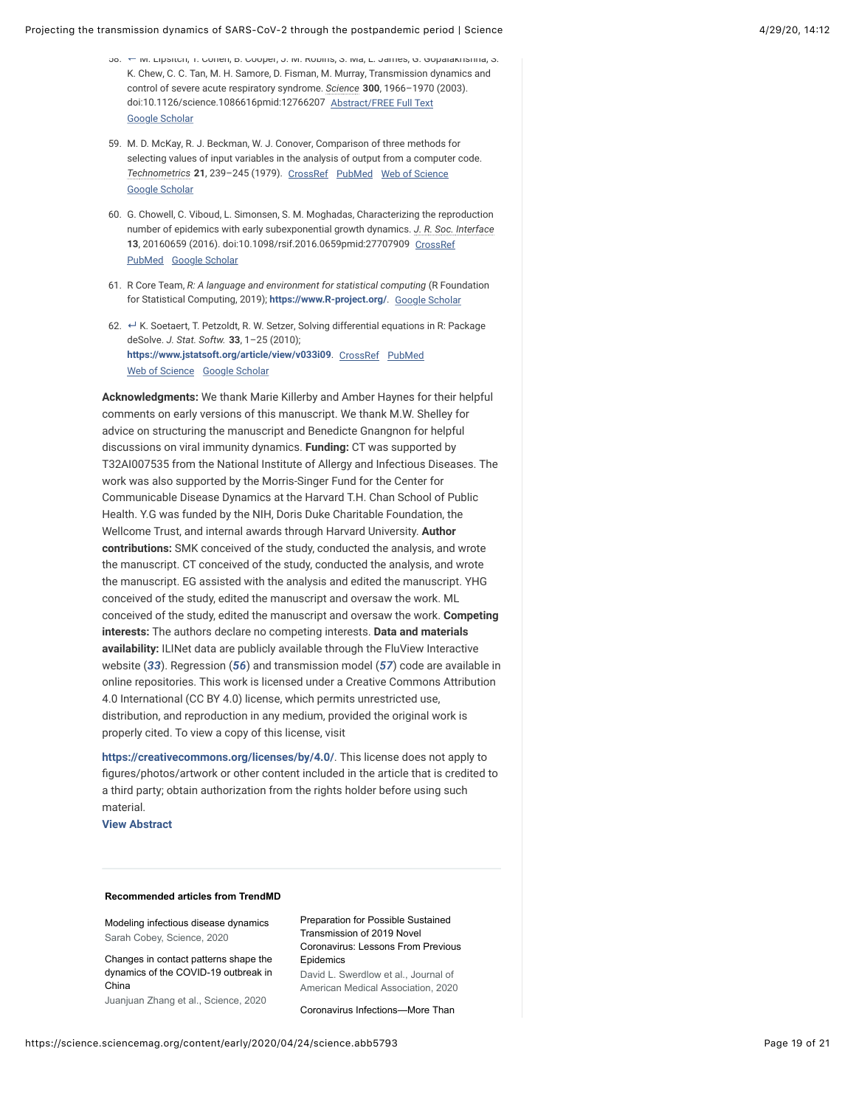- 58. M. Lipsitch, T. Cohen, B. Cooper, J. M. Robins, S. Ma, L. James, G. Gopalakrishna, S. **↵** K. Chew, C. C. Tan, M. H. Samore, D. Fisman, M. Murray, Transmission dynamics and control of severe acute respiratory syndrome. *Science* **300**, 1966–1970 (2003). doi:10.1126/science.1086616pmid:12766207 [Abstract/FREE Full Text](https://science.sciencemag.org/lookup/ijlink/YTozOntzOjQ6InBhdGgiO3M6MTQ6Ii9sb29rdXAvaWpsaW5rIjtzOjU6InF1ZXJ5IjthOjQ6e3M6ODoibGlua1R5cGUiO3M6NDoiQUJTVCI7czoxMToiam91cm5hbENvZGUiO3M6Mzoic2NpIjtzOjU6InJlc2lkIjtzOjEzOiIzMDAvNTYyNy8xOTY2IjtzOjQ6ImF0b20iO3M6NDI6Ii9zY2kvZWFybHkvMjAyMC8wNC8yNC9zY2llbmNlLmFiYjU3OTMuYXRvbSI7fXM6ODoiZnJhZ21lbnQiO3M6MDoiIjt9) [Google Scholar](https://science.sciencemag.org/lookup/google-scholar?link_type=googlescholar&gs_type=article&author%5B0%5D=M.+Lipsitch&author%5B1%5D=T.+Cohen&author%5B2%5D=B.+Cooper&author%5B3%5D=J.%20M.+Robins&author%5B4%5D=S.+Ma&author%5B5%5D=L.+James&author%5B6%5D=G.+Gopalakrishna&author%5B7%5D=S.%20K.+Chew&author%5B8%5D=C.%20C.+Tan&author%5B9%5D=M.%20H.+Samore&author%5B10%5D=D.+Fisman&author%5B11%5D=M.+Murray&title=Transmission+dynamics+and+control+of+severe+acute+respiratory+syndrome&publication_year=2003&journal=Science&volume=300&pages=1966-1970)
- 59. M. D. McKay, R. J. Beckman, W. J. Conover, Comparison of three methods for selecting values of input variables in the analysis of output from a computer code. *Technometrics* **21**, 239–245 (1979). [CrossRef](https://science.sciencemag.org/lookup/external-ref?access_num=10.2307/1268522&link_type=DOI) [PubMed](https://science.sciencemag.org/lookup/external-ref?access_num=WOS:A1979GW1&link_type=MED&atom=%2Fsci%2Fearly%2F2020%2F04%2F24%2Fscience.abb5793.atom) [Web of Science](https://science.sciencemag.org/lookup/external-ref?access_num=A1979GW16700012&link_type=ISI) [Google Scholar](https://science.sciencemag.org/lookup/google-scholar?link_type=googlescholar&gs_type=article&author%5B0%5D=M.%20D.+McKay&author%5B1%5D=R.%20J.+Beckman&author%5B2%5D=W.%20J.+Conover&title=Comparison+of+three+methods+for+selecting+values+of+input+variables+in+the+analysis+of+output+from+a+computer+code&publication_year=1979&journal=Technometrics&volume=21&pages=239-245)
- 60. G. Chowell, C. Viboud, L. Simonsen, S. M. Moghadas, Characterizing the reproduction number of epidemics with early subexponential growth dynamics. *J. R. Soc. Interface* **13**, 20160659 (2016). doi:10.1098/rsif.2016.0659pmid:27707909 [CrossRef](https://science.sciencemag.org/lookup/external-ref?access_num=10.1098/rsif.2016.0659&link_type=DOI) [PubMed](https://science.sciencemag.org/lookup/external-ref?access_num=27707909&link_type=MED&atom=%2Fsci%2Fearly%2F2020%2F04%2F24%2Fscience.abb5793.atom) [Google Scholar](https://science.sciencemag.org/lookup/google-scholar?link_type=googlescholar&gs_type=article&author%5B0%5D=G.+Chowell&author%5B1%5D=C.+Viboud&author%5B2%5D=L.+Simonsen&author%5B3%5D=S.%20M.+Moghadas&title=Characterizing+the+reproduction+number+of+epidemics+with+early+subexponential+growth+dynamics&publication_year=2016&journal=J.+R.+Soc.+Interface&volume=13)
- 61. R Core Team, *R: A language and environment for statistical computing* (R Foundation for Statistical Computing, 2019); **[https://www.R-project.org/](https://www.r-project.org/)**. [Google Scholar](https://science.sciencemag.org/lookup/google-scholar?link_type=googlescholar&gs_type=article)
- <span id="page-18-0"></span>62. ← K. Soetaert, T. Petzoldt, R. W. Setzer, Solving differential equations in R: Package deSolve. *J. Stat. Softw.* **33**, 1–25 (2010); **<https://www.jstatsoft.org/article/view/v033i09>**. [CrossRef](https://science.sciencemag.org/lookup/external-ref?access_num=10.1111/j.1467-9868.2005.00503.x&link_type=DOI) [PubMed](https://science.sciencemag.org/lookup/external-ref?access_num=20808728&link_type=MED&atom=%2Fsci%2Fearly%2F2020%2F04%2F24%2Fscience.abb5793.atom) [Web of Science](https://science.sciencemag.org/lookup/external-ref?access_num=000275203200001&link_type=ISI) [Google Scholar](https://science.sciencemag.org/lookup/google-scholar?link_type=googlescholar&gs_type=article&author%5B0%5D=K.+Soetaert&author%5B1%5D=T.+Petzoldt&author%5B2%5D=R.%20W.+Setzer&title=Solving+differential+equations+in+R:+Package+deSolve.&publication_year=2010&volume=33&pages=1-25)

**Acknowledgments:** We thank Marie Killerby and Amber Haynes for their helpful comments on early versions of this manuscript. We thank M.W. Shelley for advice on structuring the manuscript and Benedicte Gnangnon for helpful discussions on viral immunity dynamics. **Funding:** CT was supported by T32AI007535 from the National Institute of Allergy and Infectious Diseases. The work was also supported by the Morris-Singer Fund for the Center for Communicable Disease Dynamics at the Harvard T.H. Chan School of Public Health. Y.G was funded by the NIH, Doris Duke Charitable Foundation, the Wellcome Trust, and internal awards through Harvard University. **Author contributions:** SMK conceived of the study, conducted the analysis, and wrote the manuscript. CT conceived of the study, conducted the analysis, and wrote the manuscript. EG assisted with the analysis and edited the manuscript. YHG conceived of the study, edited the manuscript and oversaw the work. ML conceived of the study, edited the manuscript and oversaw the work. **Competing interests:** The authors declare no competing interests. **Data and materials availability:** ILINet data are publicly available through the FluView Interactive website (*[33](#page-16-2)*). Regression (*[56](#page-17-13)*) and transmission model (*[57](#page-17-14)*) code are available in online repositories. This work is licensed under a Creative Commons Attribution 4.0 International (CC BY 4.0) license, which permits unrestricted use, distribution, and reproduction in any medium, provided the original work is properly cited. To view a copy of this license, visit

<span id="page-18-1"></span>**<https://creativecommons.org/licenses/by/4.0/>**. This license does not apply to figures/photos/artwork or other content included in the article that is credited to a third party; obtain authorization from the rights holder before using such material.

**[View Abstract](https://science.sciencemag.org/content/early/2020/04/24/science.abb5793.abstract)**

#### **Recommended articles from TrendMD**

[Modeling infectious disease dynamics](https://science.sciencemag.org/content/early/2020/04/23/science.abb5659?intcmp=trendmd-sci) Sarah Cobey, Science, 2020

[Changes in contact patterns shape the](https://science.sciencemag.org/content/early/2020/04/28/science.abb8001?intcmp=trendmd-sci) dynamics of the COVID-19 outbreak in China

Juanjuan Zhang et al., Science, 2020

<span id="page-18-2"></span>Preparation for Possible Sustained Transmission of 2019 Novel [Coronavirus: Lessons From Previous](https://jamanetwork.com/journals/jama/article-abstract/2761285?utm_source=TrendMD&utm_medium=cpc&utm_campaign=Journal_of_American_Medical_Association_TrendMD_1) Epidemics David L. Swerdlow et al., Journal of American Medical Association, 2020

[Coronavirus Infections—More Than](https://jamanetwork.com/journals/jama/fullarticle/2759815?guestAccessKey=9b2031e3-e18d-4938-a6e3-ce9f55643093&utm_source=TrendMD&utm_medium=cpc&utm_campaign=Journal_of_American_Medical_Association_TrendMD_1&utm_content=etoc&utm_term=022520)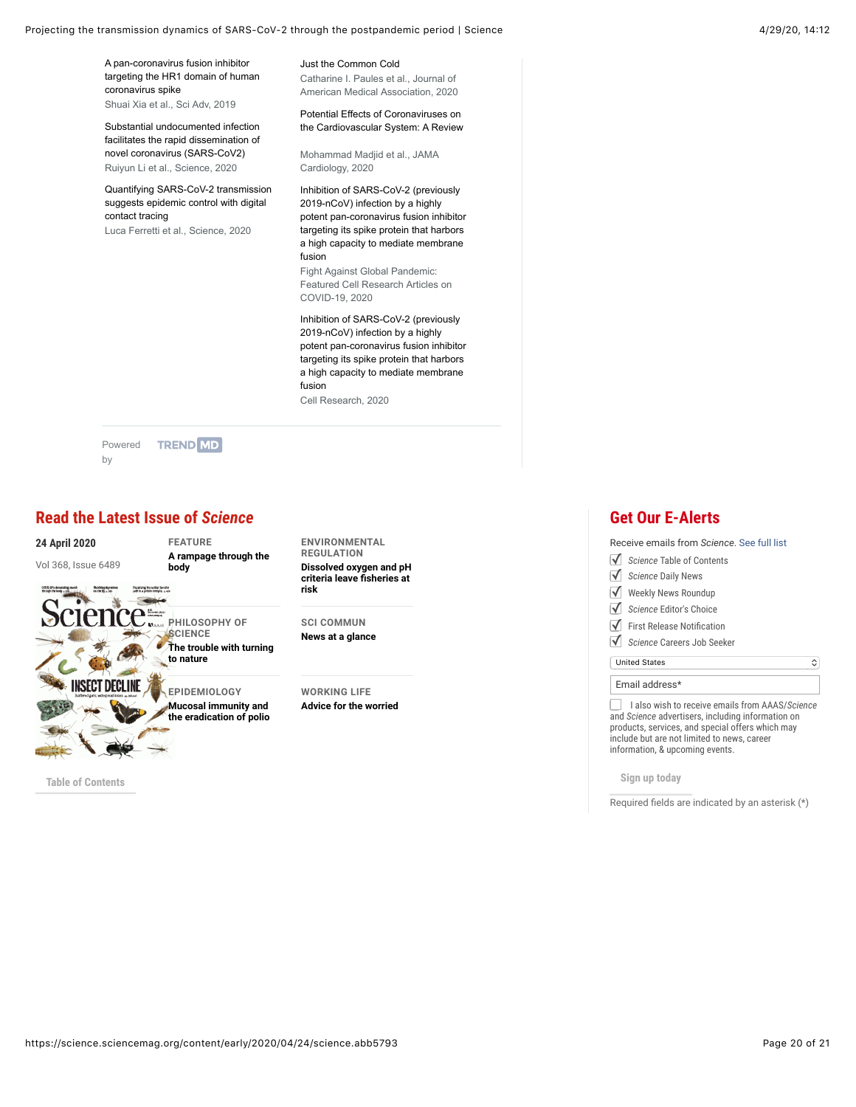Projecting the transmission dynamics of SARS-CoV-2 through the postpandemic period | Science 4/29/20, 14:12 4/29/20, 14:12

A pan-coronavirus fusion inhibitor [targeting the HR1 domain of human](https://advances.sciencemag.org/content/5/4/eaav4580?intcmp=trendmd-adv) coronavirus spike Shuai Xia et al., Sci Adv, 2019

[Substantial undocumented infection](https://science.sciencemag.org/content/early/2020/03/13/science.abb3221?intcmp=trendmd-sci) facilitates the rapid dissemination of novel coronavirus (SARS-CoV2) Ruiyun Li et al., Science, 2020

[Quantifying SARS-CoV-2 transmission](https://science.sciencemag.org/content/early/2020/03/30/science.abb6936?intcmp=trendmd-sci) suggests epidemic control with digital contact tracing

Luca Ferretti et al., Science, 2020

[Just the Common Cold](https://jamanetwork.com/journals/jama/fullarticle/2759815?guestAccessKey=9b2031e3-e18d-4938-a6e3-ce9f55643093&utm_source=TrendMD&utm_medium=cpc&utm_campaign=Journal_of_American_Medical_Association_TrendMD_1&utm_content=etoc&utm_term=022520) Catharine I. Paules et al., Journal of American Medical Association, 2020

Potential Effects of Coronaviruses on [the Cardiovascular System: A Review](https://jamanetwork.com/journals/jamacardiology/fullarticle/2763846?appId=scweb&appId=scweb&utm_source=TrendMD&utm_medium=cpc&utm_campaign=JAMA_Cardiology_TrendMD_1)

Mohammad Madjid et al., JAMA Cardiology, 2020

Inhibition of SARS-CoV-2 (previously 2019-nCoV) infection by a highly [potent pan-coronavirus fusion inhibitor](https://www.nature.com/articles/s41422-020-0305-x?utm_source=TrendMD&utm_medium=cpc&utm_campaign=Fight_Against_Global_Pandemic%253A_Featured_Cell_Research_Articles_on_COVID-19_TrendMD_1) targeting its spike protein that harbors a high capacity to mediate membrane fusion Fight Against Global Pandemic:

Featured Cell Research Articles on COVID-19, 2020

Inhibition of SARS-CoV-2 (previously 2019-nCoV) infection by a highly [potent pan-coronavirus fusion inhibitor](https://www.nature.com/articles/s41422-020-0305-x?utm_source=TrendMD&utm_medium=cpc&utm_campaign=Cell_Research_TrendMD_1) targeting its spike protein that harbors a high capacity to mediate membrane fusion

Cell Research, 2020

[Powered](https://www.trendmd.com/how-it-works-readers) **TREND MD** by

# **[Read the Latest Issue of](https://pubs.aaas.org/Promo/promo_setup_rd.asp?dmc=P5XPZ)** *Science*

| <b>24 April 2020</b><br>Vol 368, Issue 6489                                                                            | <b>FEATURE</b><br>A rampage through the<br>body  |
|------------------------------------------------------------------------------------------------------------------------|--------------------------------------------------|
| Your long the racks! transfer<br>COVO-3F's demantating must<br>h the book at<br>padd in a pictually intimating produc- |                                                  |
| $\mathsf{SCIence}$ with PHILOSOPHY OF                                                                                  | <b>SCIENCE</b>                                   |
|                                                                                                                        | The trouble with turning<br>to nature            |
|                                                                                                                        | <b>EPIDEMIOLOGY</b>                              |
|                                                                                                                        | Mucosal immunity and<br>the eradication of polio |
|                                                                                                                        |                                                  |

导价

**ENVIRONMENTAL REGULATION [Dissolved oxygen and pH](https://science.sciencemag.org/content/368/6489/372)** criteria leave fisheries at **risk**

**SCI COMMUN [News at a glance](https://science.sciencemag.org/content/368/6489/348)**

**WORKING LIFE [Advice for the worried](https://science.sciencemag.org/content/368/6489/438)**

## **Get Our E-Alerts**

Receive emails from *Science*. [See full list](https://www.sciencemag.org/subscribe/get-our-newsletters)

- *Science* Table of Contents ✓
- *Science* Daily News ✓
- Weekly News Roundup ✓
- *Science* Editor's Choice ✓
- √ First Release Notification
- *Science* Careers Job Seeker ✓

# United States

Email address\*

I also wish to receive emails from AAAS/*Science* and *Science* advertisers, including information on products, services, and special offers which may include but are not limited to news, career information, & upcoming events.

**[Table of Contents](http://science.sciencemag.org/content/368/6489) Sign up today**

Required fields are indicated by an asterisk  $(*)$ 

 $\boldsymbol{\hat{\mathit{v}}}$